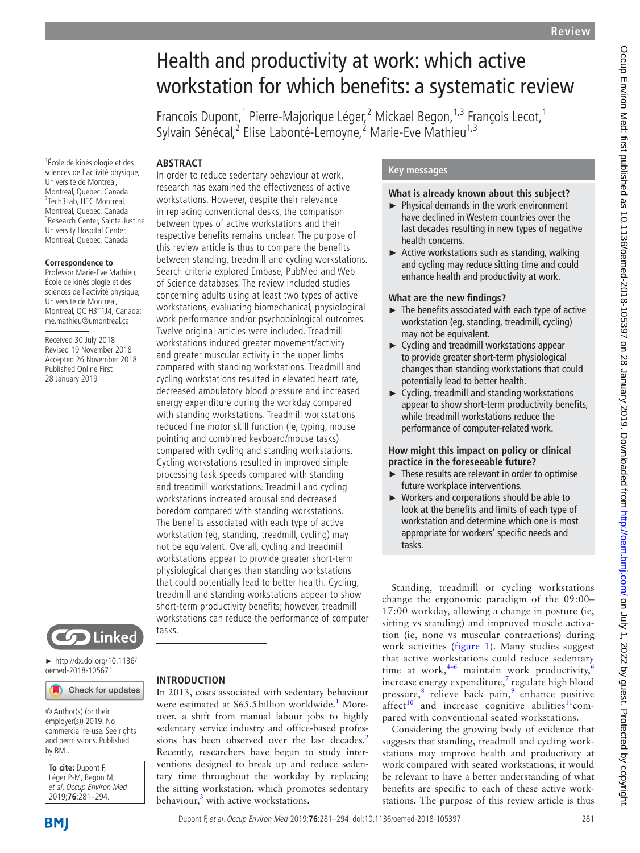# Health and productivity at work: which active workstation for which benefits: a systematic review

Francois Dupont,<sup>1</sup> Pierre-Majorique Léger,<sup>2</sup> Mickael Begon,<sup>1,3</sup> François Lecot,<sup>1</sup> Sylvain Sénécal,<sup>2</sup> Elise Labonté-Lemoyne,<sup>2</sup> Marie-Eve Mathieu<sup>1,3</sup>

### **Abstract**

In order to reduce sedentary behaviour at work, research has examined the effectiveness of active workstations. However, despite their relevance in replacing conventional desks, the comparison between types of active workstations and their respective benefits remains unclear. The purpose of this review article is thus to compare the benefits between standing, treadmill and cycling workstations. Search criteria explored Embase, PubMed and Web of Science databases. The review included studies concerning adults using at least two types of active workstations, evaluating biomechanical, physiological work performance and/or psychobiological outcomes. Twelve original articles were included. Treadmill workstations induced greater movement/activity and greater muscular activity in the upper limbs compared with standing workstations. Treadmill and cycling workstations resulted in elevated heart rate, decreased ambulatory blood pressure and increased energy expenditure during the workday compared with standing workstations. Treadmill workstations reduced fine motor skill function (ie, typing, mouse pointing and combined keyboard/mouse tasks) compared with cycling and standing workstations. Cycling workstations resulted in improved simple processing task speeds compared with standing and treadmill workstations. Treadmill and cycling workstations increased arousal and decreased boredom compared with standing workstations. The benefits associated with each type of active workstation (eg, standing, treadmill, cycling) may not be equivalent. Overall, cycling and treadmill workstations appear to provide greater short-term physiological changes than standing workstations that could potentially lead to better health. Cycling, treadmill and standing workstations appear to show short-term productivity benefits; however, treadmill workstations can reduce the performance of computer

1 École de kinésiologie et des sciences de l'activité physique, Université de Montréal, Montreal, Quebec, Canada <sup>2</sup>Tech3Lab, HEC Montréal, Montreal, Quebec, Canada 3 Research Center, Sainte-Justine University Hospital Center, Montreal, Quebec, Canada

#### **Correspondence to**

Professor Marie-Eve Mathieu, École de kinésiologie et des sciences de l'activité physique, Universite de Montreal, Montreal, QC H3T1J4, Canada; me.mathieu@umontreal.ca

Received 30 July 2018 Revised 19 November 2018 Accepted 26 November 2018 Published Online First 28 January 2019



► [http://dx.doi.org/10.1136/](http://dx.doi.org/10.1136/oemed-2018-105671 ) [oemed-2018-105671](http://dx.doi.org/10.1136/oemed-2018-105671 ) 

Check for updates

© Author(s) (or their employer(s)) 2019. No commercial re-use. See rights and permissions. Published by BMJ.

**To cite:** Dupont F, Léger P-M, Begon M, et al. Occup Environ Med 2019;**76**:281–294.

## **Introduction**

tasks.

In 2013, costs associated with sedentary behaviour were estimated at \$65.5 billion worldwide.<sup>[1](#page-12-0)</sup> Moreover, a shift from manual labour jobs to highly sedentary service industry and office-based profes-sions has been observed over the last decades.<sup>[2](#page-12-1)</sup> Recently, researchers have begun to study interventions designed to break up and reduce sedentary time throughout the workday by replacing the sitting workstation, which promotes sedentary behaviour,<sup>3</sup> with active workstations.

## **Key messages**

#### **What is already known about this subject?**

- ► Physical demands in the work environment have declined in Western countries over the last decades resulting in new types of negative health concerns.
- $\blacktriangleright$  Active workstations such as standing, walking and cycling may reduce sitting time and could enhance health and productivity at work.

## **What are the new findings?**

- $\blacktriangleright$  The benefits associated with each type of active workstation (eg, standing, treadmill, cycling) may not be equivalent.
- ► Cycling and treadmill workstations appear to provide greater short-term physiological changes than standing workstations that could potentially lead to better health.
- ► Cycling, treadmill and standing workstations appear to show short-term productivity benefits, while treadmill workstations reduce the performance of computer-related work.

#### **How might this impact on policy or clinical practice in the foreseeable future?**

- ► These results are relevant in order to optimise future workplace interventions.
- ► Workers and corporations should be able to look at the benefits and limits of each type of workstation and determine which one is most appropriate for workers' specific needs and tasks.

Standing, treadmill or cycling workstations change the ergonomic paradigm of the 09:00– 17:00 workday, allowing a change in posture (ie, sitting vs standing) and improved muscle activation (ie, none vs muscular contractions) during work activities ([figure](#page-1-0) 1). Many studies suggest that active workstations could reduce sedentary time at work, $4-6$  $4-6$  maintain work productivity, increase energy expenditure,<sup>[7](#page-12-5)</sup> regulate high blood pressure,<sup>[8](#page-12-6)</sup> relieve back pain,<sup>[9](#page-12-7)</sup> enhance positive affect<sup>[10](#page-12-8)</sup> and increase cognitive abilities<sup>11</sup>compared with conventional seated workstations.

Considering the growing body of evidence that suggests that standing, treadmill and cycling workstations may improve health and productivity at work compared with seated workstations, it would be relevant to have a better understanding of what benefits are specific to each of these active workstations. The purpose of this review article is thus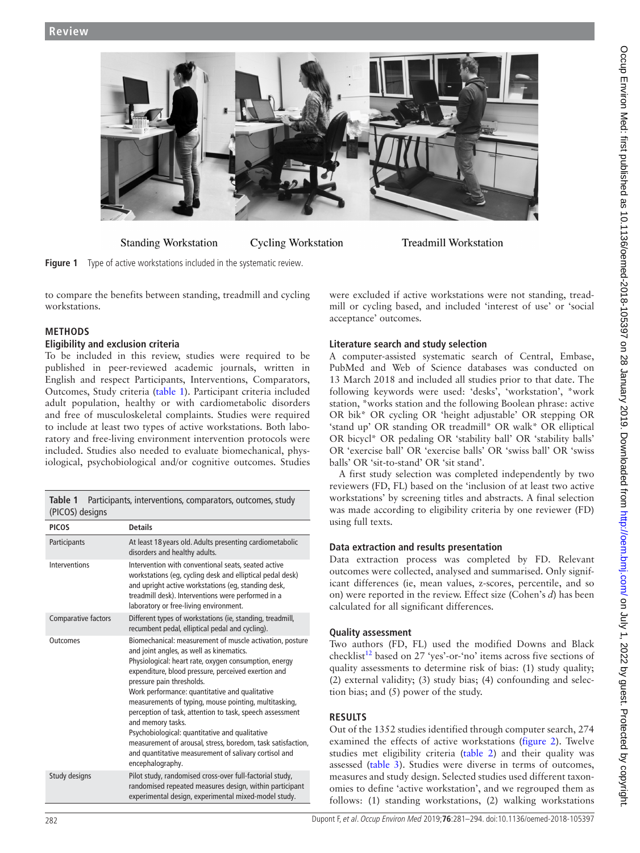

<span id="page-1-0"></span>**Standing Workstation** 

**Cycling Workstation** 

**Treadmill Workstation** 

Figure 1 Type of active workstations included in the systematic review.

to compare the benefits between standing, treadmill and cycling workstations.

## **Methods**

## **Eligibility and exclusion criteria**

To be included in this review, studies were required to be published in peer-reviewed academic journals, written in English and respect Participants, Interventions, Comparators, Outcomes, Study criteria [\(table](#page-1-1) 1). Participant criteria included adult population, healthy or with cardiometabolic disorders and free of musculoskeletal complaints. Studies were required to include at least two types of active workstations. Both laboratory and free-living environment intervention protocols were included. Studies also needed to evaluate biomechanical, physiological, psychobiological and/or cognitive outcomes. Studies

<span id="page-1-1"></span>**Table 1** Participants, interventions, comparators, outcomes, study (PICOS) designs

| <b>PICOS</b>        | <b>Details</b>                                                                                                                                                                                                                                                                                                                                                                                                                                                                                                                                                                                                                              |
|---------------------|---------------------------------------------------------------------------------------------------------------------------------------------------------------------------------------------------------------------------------------------------------------------------------------------------------------------------------------------------------------------------------------------------------------------------------------------------------------------------------------------------------------------------------------------------------------------------------------------------------------------------------------------|
| Participants        | At least 18 years old. Adults presenting cardiometabolic<br>disorders and healthy adults.                                                                                                                                                                                                                                                                                                                                                                                                                                                                                                                                                   |
| Interventions       | Intervention with conventional seats, seated active<br>workstations (eq, cycling desk and elliptical pedal desk)<br>and upright active workstations (eg, standing desk,<br>treadmill desk). Interventions were performed in a<br>laboratory or free-living environment.                                                                                                                                                                                                                                                                                                                                                                     |
| Comparative factors | Different types of workstations (ie, standing, treadmill,<br>recumbent pedal, elliptical pedal and cycling).                                                                                                                                                                                                                                                                                                                                                                                                                                                                                                                                |
| Outcomes            | Biomechanical: measurement of muscle activation, posture<br>and joint angles, as well as kinematics.<br>Physiological: heart rate, oxygen consumption, energy<br>expenditure, blood pressure, perceived exertion and<br>pressure pain thresholds.<br>Work performance: quantitative and qualitative<br>measurements of typing, mouse pointing, multitasking,<br>perception of task, attention to task, speech assessment<br>and memory tasks.<br>Psychobiological: quantitative and qualitative<br>measurement of arousal, stress, boredom, task satisfaction,<br>and quantitative measurement of salivary cortisol and<br>encephalography. |
| Study designs       | Pilot study, randomised cross-over full-factorial study,<br>randomised repeated measures design, within participant<br>experimental design, experimental mixed-model study.                                                                                                                                                                                                                                                                                                                                                                                                                                                                 |

were excluded if active workstations were not standing, treadmill or cycling based, and included 'interest of use' or 'social acceptance' outcomes.

## **Literature search and study selection**

A computer-assisted systematic search of Central, Embase, PubMed and Web of Science databases was conducted on 13 March 2018 and included all studies prior to that date. The following keywords were used: 'desks', 'workstation', \*work station, \*works station and the following Boolean phrase: active OR bik\* OR cycling OR 'height adjustable' OR stepping OR 'stand up' OR standing OR treadmill\* OR walk\* OR elliptical OR bicycl\* OR pedaling OR 'stability ball' OR 'stability balls' OR 'exercise ball' OR 'exercise balls' OR 'swiss ball' OR 'swiss balls' OR 'sit-to-stand' OR 'sit stand'.

A first study selection was completed independently by two reviewers (FD, FL) based on the 'inclusion of at least two active workstations' by screening titles and abstracts. A final selection was made according to eligibility criteria by one reviewer (FD) using full texts.

## **Data extraction and results presentation**

Data extraction process was completed by FD. Relevant outcomes were collected, analysed and summarised. Only significant differences (ie, mean values, z-scores, percentile, and so on) were reported in the review. Effect size (Cohen's *d*) has been calculated for all significant differences.

## **Quality assessment**

Two authors (FD, FL) used the modified Downs and Black checklist<sup>12</sup> based on 27 'yes'-or-'no' items across five sections of quality assessments to determine risk of bias: (1) study quality; (2) external validity; (3) study bias; (4) confounding and selection bias; and (5) power of the study[.](#page-1-1)

## **Results**

Out of the 1352 studies identified through computer search, 274 examined the effects of active workstations [\(figure](#page-2-0) 2). Twelve studies met eligibility criteria [\(table](#page-3-0) 2) and their quality was assessed [\(table](#page-8-0) 3). Studies were diverse in terms of outcomes, measures and study design. Selected studies used different taxonomies to define 'active workstation', and we regrouped them as follows: (1) standing workstations, (2) walking workstations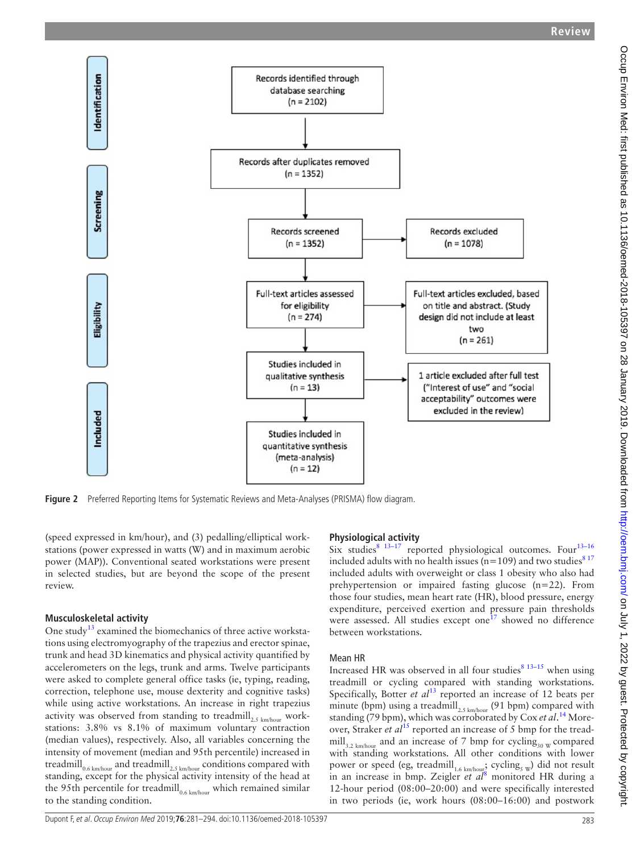

<span id="page-2-0"></span>**Figure 2** Preferred Reporting Items for Systematic Reviews and Meta-Analyses (PRISMA) flow diagram.

(speed expressed in km/hour), and (3) pedalling/elliptical workstations (power expressed in watts (W) and in maximum aerobic power (MAP)). Conventional seated workstations were present in selected studies, but are beyond the scope of the present review.

## **Musculoskeletal activity**

One study<sup>[13](#page-12-11)</sup> examined the biomechanics of three active workstations using electromyography of the trapezius and erector spinae, trunk and head 3D kinematics and physical activity quantified by accelerometers on the legs, trunk and arms. Twelve participants were asked to complete general office tasks (ie, typing, reading, correction, telephone use, mouse dexterity and cognitive tasks) while using active workstations. An increase in right trapezius activity was observed from standing to treadmill<sub>2.5 km/hour</sub> workstations: 3.8% vs 8.1% of maximum voluntary contraction (median values), respectively. Also, all variables concerning the intensity of movement (median and 95th percentile) increased in treadmill $_{\rm 0.6\ km/hour}$  and treadmill $_{\rm 2.5\ km/hour}$  conditions compared with standing, except for the physical activity intensity of the head at the 95th percentile for treadmill<sub>0.6 km/hour</sub> which remained similar to the standing condition.

#### **Physiological activity**

Six studies<sup>8 13-17</sup> reported physiological outcomes. Four<sup>13-16</sup> included adults with no health issues ( $n=109$ ) and two studies<sup>817</sup> included adults with overweight or class 1 obesity who also had prehypertension or impaired fasting glucose (n=22). From those four studies, mean heart rate (HR), blood pressure, energy expenditure, perceived exertion and pressure pain thresholds were assessed. All studies except one<sup>17</sup> showed no difference between workstations.

#### Mean HR

Increased HR was observed in all four studies $8^{13-15}$  when using treadmill or cycling compared with standing workstations. Specifically, Botter *et al*<sup>[13](#page-12-11)</sup> reported an increase of 12 beats per minute (bpm) using a treadmill<sub>2.5 km/hour</sub> (91 bpm) compared with standing (79 bpm), which was corroborated by Cox *et al*. [14](#page-12-13) Moreover, Straker *et al*<sup>[15](#page-12-14)</sup> reported an increase of 5 bmp for the treadmill<sub>3.2</sub> km/hour and an increase of 7 bmp for cycling<sub>30</sub> w compared with standing workstations. All other conditions with lower power or speed (eg, treadmill<sub>1.6 km/hour;</sub> cycling<sub>5 W</sub>) did not result in an increase in bmp. Zeigler *et al*[8](#page-12-6) monitored HR during a 12-hour period (08:00–20:00) and were specifically interested in two periods (ie, work hours (08:00–16:00) and postwork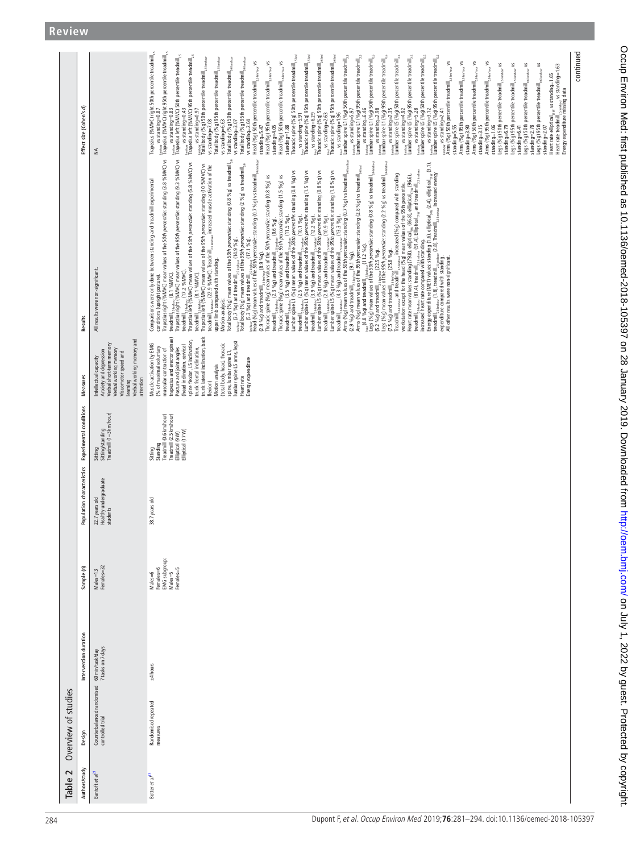<span id="page-3-0"></span>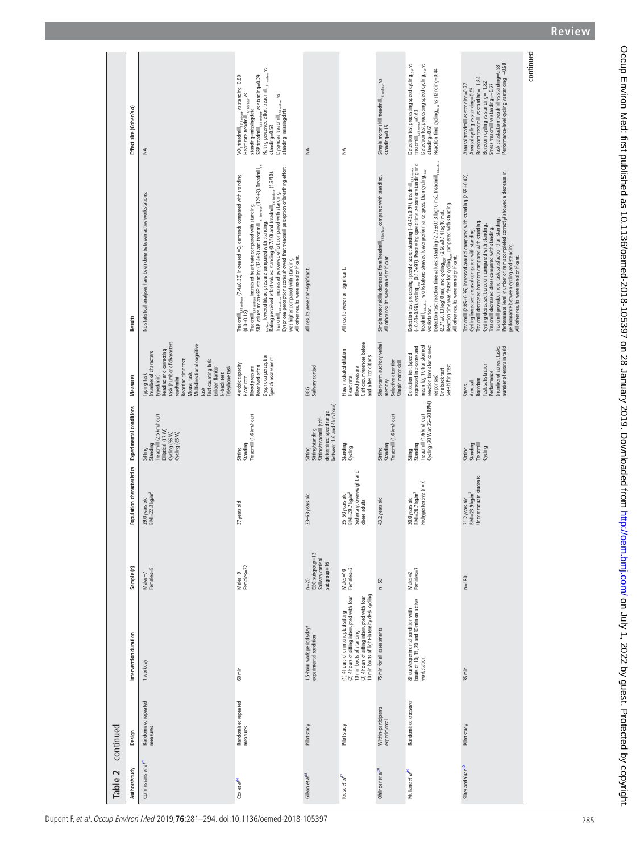|                    | Effect size (Cohen's d)    | ₹                                                                                                                                                                                                                                                                            | standing=missing data<br>SBP treadmill <sub>istiminess</sub> vs standing=0.29<br>Rating perceived effort treadmill <sub>istiminess</sub> vs<br>VO <sub>2</sub> treadmill <sub>1.61 km/<sub>hoar</sub> vs standing=0.80<br/>Heart rate treadmill<sub>1.61 km/hoar</sub> vs</sub><br>1.61 km/hour VS<br>Dyspnoea treadmill <sub>, ist kmhour</sub> vs<br>standing=missing data<br>standing=0.53                                                                                                                                                                                                                                                                                                                                          | ₹                                                                                                               | ₹                                                                                                                                                                                                                | Simple motor skill treadmill <sub>1.6 km/hour</sub> VS<br>$standing = 0.15$                                                          | Detection test processing speed cycling <sub>20 w</sub> vs<br>treadmill <sub>is lemew</sub> =0.63<br>Detection test processing speed cycling <sub>20 w</sub> vs<br>standing=0.61<br>Reaction time cycling <sub>20 w</sub> vs standing=0.44                                                                                                                                                                                                                                                                             | Task satisfaction treadmill vs standing=0.58<br>Performance-level cycling vs standing=-0.68<br>Boredom treadmill vs standing=-1.84<br>Boredom cycling vs standing=-1.82<br>Arousal treadmill vs standing=0.77<br>Stress treadmill vs standing=-0.77<br>Arousal cycling vs standing=0.95                                                                                                                                                                                                                                                | continued |
|--------------------|----------------------------|------------------------------------------------------------------------------------------------------------------------------------------------------------------------------------------------------------------------------------------------------------------------------|----------------------------------------------------------------------------------------------------------------------------------------------------------------------------------------------------------------------------------------------------------------------------------------------------------------------------------------------------------------------------------------------------------------------------------------------------------------------------------------------------------------------------------------------------------------------------------------------------------------------------------------------------------------------------------------------------------------------------------------|-----------------------------------------------------------------------------------------------------------------|------------------------------------------------------------------------------------------------------------------------------------------------------------------------------------------------------------------|--------------------------------------------------------------------------------------------------------------------------------------|------------------------------------------------------------------------------------------------------------------------------------------------------------------------------------------------------------------------------------------------------------------------------------------------------------------------------------------------------------------------------------------------------------------------------------------------------------------------------------------------------------------------|----------------------------------------------------------------------------------------------------------------------------------------------------------------------------------------------------------------------------------------------------------------------------------------------------------------------------------------------------------------------------------------------------------------------------------------------------------------------------------------------------------------------------------------|-----------|
|                    | Results                    | No statistical analyses have been done between active workstations.                                                                                                                                                                                                          | Treadmill, <sub>Airmhea</sub> increased heart rate compared with standing.<br>SBP values mean±SE: standing (124±3) and treadmill, <sub>Airmhea</sub> r (129±3). Treadmill, <sub>as</sub><br>المقرر بين المعالج المستخدم المستخدم المعالج المستخدم المستخدم المستخدم المستخدم المستخدم المستخدم المستخدم ال<br>Treadmill , والمستخدم المستخدم المستخدم المستخدم المستخدم المستخدم المستخدم المستخدم المستخدم المستخدم المستخد<br>Treadmill <sub>, fistnmour</sub> (7.4±0.33) increased VO <sub>2</sub> demands compared with standing<br>(4.0±0.18),<br>increased heart rate compared with standing.<br>lowered blood pressure compared with standing.<br>All other results were non-significant.<br>was higher compared with standing. | All results were non-significant.                                                                               | All results were non-significant.                                                                                                                                                                                | Simple motor skills decreased from Treadmill <sub>1s kmhour</sub> compared with standing.<br>All other results were non-significant. | Detection test processing speed z-score: standing $(-0.43\pm0.97)$ , treadmill, $_{\rm 6,max}$ $(-0.44\pm0.96)$ , ${\rm cycling}_{\rm 3,0}$ (0.17 $\pm9$ ). Processing speed time z-score of standing and readmill, $_{\rm 6,max}$ workstations showed low<br>Reaction time was faster for cycling <sub>y, w</sub> compared with standing.<br>All other results were non-significant.<br>$(2.71 \pm 0.13 \text{ log} 10 \text{ ms})$ and $cycling_{20w}$ $(2.66 \pm 0.14 \text{ log} 10 \text{ ms})$ .<br>workstation. | Treadmill provided more task satisfaction than standing.<br>Performance level (number of items completed correctly) showed a decrease in<br>Treadmill (2.85±0.36) increased arousal compared with standing (2.55±0.42).<br>Treadmill decreased boredom compared with standing.<br>Cycling decreased boredom compared with standing.<br>Treadmill decreased stress compared with standing.<br>Cycling increased arousal compared with standing.<br>performance between cycling and standing.<br>All other results were non-significant. |           |
|                    | <b>Measures</b>            | task (number of characters<br>Multidirectional cognitive<br>Reading and correcting<br>(number of characters<br>Reaction time test:<br>Fast counting task<br>Telephone task<br>Eriksen flanker<br>Mouse task<br>N-back test<br>Typing task<br>typed/min)<br>read/min)<br>task | Dyspnoea perception<br>Speech assessment<br>Aerobic capacity<br>Perceived effort<br><b>Blood</b> pressure<br>Heart rate                                                                                                                                                                                                                                                                                                                                                                                                                                                                                                                                                                                                                | EGG<br>Salivary cortisol                                                                                        | Calf circumferences before<br>Flow-mediated dilation<br>and after conditions<br><b>Blood</b> pressure<br>Heart rate                                                                                              | Short-term auditory verbal<br>Selective attention<br>Simple motor skill<br>memory                                                    | mean log 10 transformed<br>reaction times for correct<br>expressed in z-score and<br>Detection test (speed<br>Set-shifting test<br>One back test<br>responses)                                                                                                                                                                                                                                                                                                                                                         | (number of correct tasks;<br>number of errors in task)<br>Task satisfaction<br>Performance<br>Boredom<br>Arousal<br><b>Stress</b>                                                                                                                                                                                                                                                                                                                                                                                                      |           |
|                    | Experimental conditions    | Sitting<br>Standing<br>Treadmill (2.5 km/hour)<br>Elliptical (17 W)<br>Cycling (56 W)<br>Cycling (85 W)                                                                                                                                                                      | Treadmill (1.6 km/hour)<br>Standing<br>Sitting                                                                                                                                                                                                                                                                                                                                                                                                                                                                                                                                                                                                                                                                                         | between 1.6 and 4 km/hour)<br>determined speed range<br>Sitting/treadmill (self-<br>Sitting/standing<br>Sitting | Standing<br>Cycling                                                                                                                                                                                              | Treadmill (1.6 km/hour)<br>Standing<br>Sitting                                                                                       | Cycling (20 W at 25-20 RPM)<br>Standing<br>Treadmill (1.6 km/hour)<br>Siting                                                                                                                                                                                                                                                                                                                                                                                                                                           | Sitting<br>Standing<br>Treadmill<br>Cycling                                                                                                                                                                                                                                                                                                                                                                                                                                                                                            |           |
|                    | Population characteristics | $29.0$ years old<br>BMI=22.3kg/m <sup>2</sup>                                                                                                                                                                                                                                | 37 years old                                                                                                                                                                                                                                                                                                                                                                                                                                                                                                                                                                                                                                                                                                                           | 23-63 years old                                                                                                 | sedentary, overweight and<br>$BM = 29.7 kg/m2$<br>35-50 years old<br>obese adults                                                                                                                                | 43.2 years old                                                                                                                       | Prehypertensive (n=7)<br>$BMI = 28.7 kg/m2$<br>30.0 years old                                                                                                                                                                                                                                                                                                                                                                                                                                                          | Undergraduate students<br>$21.2$ years old<br>BMI=23.9 kg/m <sup>2</sup>                                                                                                                                                                                                                                                                                                                                                                                                                                                               |           |
|                    | Sample (n)                 | Males=7<br>Females=8                                                                                                                                                                                                                                                         | Females=22<br>Males=9                                                                                                                                                                                                                                                                                                                                                                                                                                                                                                                                                                                                                                                                                                                  | EEG subgroup=13<br>Salivary cortisol<br>$3$ ubgroup=16<br>$n = 20$                                              | Males=10<br>Females=3                                                                                                                                                                                            | $n = 50$                                                                                                                             | Females=7<br>Males=2                                                                                                                                                                                                                                                                                                                                                                                                                                                                                                   | $n = 180$                                                                                                                                                                                                                                                                                                                                                                                                                                                                                                                              |           |
|                    | Intervention duration      | 1 workday                                                                                                                                                                                                                                                                    | 60 <sub>min</sub>                                                                                                                                                                                                                                                                                                                                                                                                                                                                                                                                                                                                                                                                                                                      | 1.5-hour work periods/day/<br>experimental condition                                                            | 10 min bouts of light-intensity desk cycling<br>(2) 4 hours of sitting interrupted with four<br>(3) 4 hours of sitting interrupted with four<br>(1) 4 hours of uninterrupted sitting<br>10 min bouts of standing | 75 min for all assessments                                                                                                           | bouts of 10, 15, 20 and 30 min on active<br>8 hours/experimental condition with<br>workstation                                                                                                                                                                                                                                                                                                                                                                                                                         | 35 min                                                                                                                                                                                                                                                                                                                                                                                                                                                                                                                                 |           |
| continued          | Design                     | Randomised repeated<br>measures                                                                                                                                                                                                                                              | Randomised repeated<br>measures                                                                                                                                                                                                                                                                                                                                                                                                                                                                                                                                                                                                                                                                                                        | Pilot study                                                                                                     | Pilot study                                                                                                                                                                                                      | Within-participants<br>experimental                                                                                                  | Randomised crossover                                                                                                                                                                                                                                                                                                                                                                                                                                                                                                   | Pilot study                                                                                                                                                                                                                                                                                                                                                                                                                                                                                                                            |           |
| Table <sub>2</sub> | Authors/study              | Commissaris et al <sup>25</sup>                                                                                                                                                                                                                                              | Coxet al <sup>14</sup>                                                                                                                                                                                                                                                                                                                                                                                                                                                                                                                                                                                                                                                                                                                 | Gilson et al <sup>18</sup>                                                                                      | Kruse et al <sup>17</sup>                                                                                                                                                                                        | Ohlinger et al <sup>20</sup>                                                                                                         | Mullane et al <sup>19</sup>                                                                                                                                                                                                                                                                                                                                                                                                                                                                                            | Sliter and Yuan <sup>10</sup>                                                                                                                                                                                                                                                                                                                                                                                                                                                                                                          |           |

Occup Environ Med: first published as 10.1136/oemed-2018-105397 on 28 January 2019. Downloaded from http://oem.bmj.com/ on July 1, 2022 by guest. Protected by copyright. Occup Environ Med: first published as 10.1136/oemed-2018-105397 on 28 January 2019. Downloaded from <http://oem.bmj.com/> on July 1, 2022 by guest. Protected by copyright.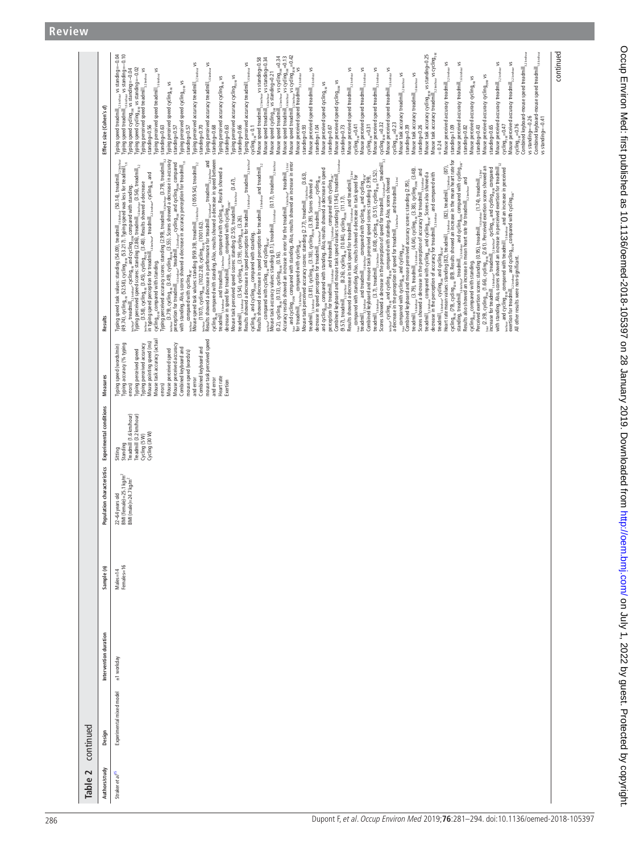| Table 2                     | continued                |                       |                          |                                                                                                                          |                                                                                                              |                                                                                                                                                                                                                                                                                                                                                                                                                  |                                                                                                                                                                                                                                                                                                                                                                                                                                                                                                                                                                                                                                                                                                                                                                                                                                                                                                                                                                                                                                                                                                                                                                                                                                                                                                                                                                                                                                                                                                                                                                                                                                                                                                                                                                                                                                                                                                                                                                                                                                                                                                                                                                                                                                                                                                                                                                                                                                                                                                                                                                                                                                                                                                                                                                                                                                                                                                                                                                                                                                                                                                                                                                                                                                                                                                                                                                                                                                                                                                                                                                                                                                                                                                                                                                                                                                                                                                                                                                                                                                                                                                                                                                                                                                                                                                                                                                                                                                                                                                                                                                                                                                                                                                                                                                                                                                                                                                                                                                                                                                                                                                                                                                                                                                                        |                                                                                                                                                                                                                                                                                                                                                                                                                                                                                                                                                                                                                                                                                                                                                                                                                                                                                                                                                                                                                                                                                                                                                                                                                                                                                                                                                                                                                                                                                                                                                                                                                                                                                                                                                                                                                                                                                                                                                                                                                                                                                                                                                                                                                                                                                                                                                                                                                                                                                                                                                                                                                                                                                                                                                                                                                                                                                                                                                                                                                                                                                                                                                                                                                              |
|-----------------------------|--------------------------|-----------------------|--------------------------|--------------------------------------------------------------------------------------------------------------------------|--------------------------------------------------------------------------------------------------------------|------------------------------------------------------------------------------------------------------------------------------------------------------------------------------------------------------------------------------------------------------------------------------------------------------------------------------------------------------------------------------------------------------------------|--------------------------------------------------------------------------------------------------------------------------------------------------------------------------------------------------------------------------------------------------------------------------------------------------------------------------------------------------------------------------------------------------------------------------------------------------------------------------------------------------------------------------------------------------------------------------------------------------------------------------------------------------------------------------------------------------------------------------------------------------------------------------------------------------------------------------------------------------------------------------------------------------------------------------------------------------------------------------------------------------------------------------------------------------------------------------------------------------------------------------------------------------------------------------------------------------------------------------------------------------------------------------------------------------------------------------------------------------------------------------------------------------------------------------------------------------------------------------------------------------------------------------------------------------------------------------------------------------------------------------------------------------------------------------------------------------------------------------------------------------------------------------------------------------------------------------------------------------------------------------------------------------------------------------------------------------------------------------------------------------------------------------------------------------------------------------------------------------------------------------------------------------------------------------------------------------------------------------------------------------------------------------------------------------------------------------------------------------------------------------------------------------------------------------------------------------------------------------------------------------------------------------------------------------------------------------------------------------------------------------------------------------------------------------------------------------------------------------------------------------------------------------------------------------------------------------------------------------------------------------------------------------------------------------------------------------------------------------------------------------------------------------------------------------------------------------------------------------------------------------------------------------------------------------------------------------------------------------------------------------------------------------------------------------------------------------------------------------------------------------------------------------------------------------------------------------------------------------------------------------------------------------------------------------------------------------------------------------------------------------------------------------------------------------------------------------------------------------------------------------------------------------------------------------------------------------------------------------------------------------------------------------------------------------------------------------------------------------------------------------------------------------------------------------------------------------------------------------------------------------------------------------------------------------------------------------------------------------------------------------------------------------------------------------------------------------------------------------------------------------------------------------------------------------------------------------------------------------------------------------------------------------------------------------------------------------------------------------------------------------------------------------------------------------------------------------------------------------------------------------------------------------------------------------------------------------------------------------------------------------------------------------------------------------------------------------------------------------------------------------------------------------------------------------------------------------------------------------------------------------------------------------------------------------------------------------------------------------------------------------------|------------------------------------------------------------------------------------------------------------------------------------------------------------------------------------------------------------------------------------------------------------------------------------------------------------------------------------------------------------------------------------------------------------------------------------------------------------------------------------------------------------------------------------------------------------------------------------------------------------------------------------------------------------------------------------------------------------------------------------------------------------------------------------------------------------------------------------------------------------------------------------------------------------------------------------------------------------------------------------------------------------------------------------------------------------------------------------------------------------------------------------------------------------------------------------------------------------------------------------------------------------------------------------------------------------------------------------------------------------------------------------------------------------------------------------------------------------------------------------------------------------------------------------------------------------------------------------------------------------------------------------------------------------------------------------------------------------------------------------------------------------------------------------------------------------------------------------------------------------------------------------------------------------------------------------------------------------------------------------------------------------------------------------------------------------------------------------------------------------------------------------------------------------------------------------------------------------------------------------------------------------------------------------------------------------------------------------------------------------------------------------------------------------------------------------------------------------------------------------------------------------------------------------------------------------------------------------------------------------------------------------------------------------------------------------------------------------------------------------------------------------------------------------------------------------------------------------------------------------------------------------------------------------------------------------------------------------------------------------------------------------------------------------------------------------------------------------------------------------------------------------------------------------------------------------------------------------------------------|
| Authors/study               | Design                   | Intervention duration | Sample (n)               | opulation characteristics                                                                                                | Experimental conditions                                                                                      | Measures                                                                                                                                                                                                                                                                                                                                                                                                         | Results                                                                                                                                                                                                                                                                                                                                                                                                                                                                                                                                                                                                                                                                                                                                                                                                                                                                                                                                                                                                                                                                                                                                                                                                                                                                                                                                                                                                                                                                                                                                                                                                                                                                                                                                                                                                                                                                                                                                                                                                                                                                                                                                                                                                                                                                                                                                                                                                                                                                                                                                                                                                                                                                                                                                                                                                                                                                                                                                                                                                                                                                                                                                                                                                                                                                                                                                                                                                                                                                                                                                                                                                                                                                                                                                                                                                                                                                                                                                                                                                                                                                                                                                                                                                                                                                                                                                                                                                                                                                                                                                                                                                                                                                                                                                                                                                                                                                                                                                                                                                                                                                                                                                                                                                                                                | Effect size (Cohen's d)                                                                                                                                                                                                                                                                                                                                                                                                                                                                                                                                                                                                                                                                                                                                                                                                                                                                                                                                                                                                                                                                                                                                                                                                                                                                                                                                                                                                                                                                                                                                                                                                                                                                                                                                                                                                                                                                                                                                                                                                                                                                                                                                                                                                                                                                                                                                                                                                                                                                                                                                                                                                                                                                                                                                                                                                                                                                                                                                                                                                                                                                                                                                                                                                      |
| Straker et al <sup>15</sup> | Experimental mixed model | ±1 workday            | $Males=14$<br>Females=16 | MI (female)=25.1 kg/m <sup>2</sup><br>MI (male)=24.7 $kg/m2$<br>$22-64$ years old<br>BMI (female)=25.<br>BMI (male)=24.7 | Treadmill (1.6 km/hour)<br>Treadmill (3.2 km/hour)<br>Cycling (30 W)<br>Cycling (5 W)<br>Standing<br>Sitting | mouse task perceived speed<br>Mouse task accuracy (actual<br>Mouse pointing speed (ms)<br>Typing accuracy (% typing<br>Typing speed (words/min)<br>Typing perceived accuracy<br>Mouse perceived accuracy<br>Combined keyboard and<br>Combined keyboard and<br>Typing perceived speed<br>Mouse perceived speed<br>mouse speed (words/s)<br>Heart rate<br>and error<br>and error<br>Exertion<br>errors)<br>errors) | treadmill $_{\text{boundary}}$ (3.7), treadmill $_{\text{boundary}}$ (4.08), cycling $_{\text{sys}}$ (3.51), cycling $_{\text{sys}}$ (3.52). The state of the perception of speed for treadmill $_{\text{maximum}}$ readmill $_{\text{maximum}}$ and $_{\text{maximum}}$ and $_{\text{maximum}}$ and $_{\text{maximum}}$ a<br>Typing perceived accuracy scores: standing (2.99), treadmill, <sub>Lamery</sub> (3.79), treadmill, .<br>- Supply (3.79), cycling, ,,, (3.49), cycling,,,,,,,, (3.55). Scores showed a decrease in accuracy<br>- along the standing, Also, sco<br>$\sum_{\text{even of } \{10\}, \text{of } \{10\}, \text{of } \{00\}, \text{of } \{00\}, \text{of } \{00\}, \text{of } \{00\}, \text{of } \{10\}, \text{of } \{10\}, \text{of } \{10\}, \text{of } \{10\}, \text{of } \{10\}, \text{of } \{10\}, \text{of } \{10\}, \text{of } \{10\}, \text{of } \{10\}, \text{of } \{10\}, \text{of } \{10\}, \text{of } \{10\}, \text{of } \{10\}, \text{of } \{$<br>treadmill کار پیچین (19.54)، cycling (19.19)، cycling (19.26)، (19.26)، treadmill دار استثنائی (19.4% treadmil<br>Results showed a decrease in speed perception for treadmill دار استثنائی (19.4% treadmill محمد<br>1.6 km/hour<br>treadmill <sub>s denote y</sub> cycling <sub>s w</sub> and cycling <sub>payer</sub><br>Heart rate mean values: standing (82), treadmill <sub>stambar</sub> (82), treadmill <sub>, Umbar</sub> (87),<br>cycling <sub>s w</sub> (79), cycling <sub>s w</sub> (89). Results showed an increase in the mean<br>Typing speed task values: standing (54,09), freadmill, $_{\text{anom}}$ (50,14), treadmill, $_{\text{anom}}$<br>$(45,0)$ and $(45,0)$ and $(45,0)$ and $(5,0)$ and $(65,0)$ and $(65,0)$ and $(65,0)$ and $(65,0)$ and $(65,0)$ and $(65,0)$ a<br><sub>amous</sub> compared with cycling <sub>.w</sub><br>Mouse speed task values: standing (959.39), treadmill, <sub>smenar</sub> (1059.54), treadmill <sub>12</sub><br><sub>amous</sub> compared with cycling, <sub>w</sub> and cycling <sub>a w</sub> .<br>Mouse task accuracy values: standing (0.1), treadmill <sub>« km/wax</sub> (0.17), treadmill <sub>a zariwa</sub><br>Accuracy results showed an increase in error for the treadmill $_{\rm chem}$ treadmill, $_{\rm low}$ and $\rm o$ cling $_{\rm low}$ compared with standing Also, results showed an increase in error $\rm o$<br>standing, treadmill <sub>, kemear</sub> , treadmill, <sub>2 lennear</sub> and cycling, <sub>wy</sub> compared with cycling, <sub>w</sub><br>Results also showed an increase in mean heart rate for treadmill, <sub>2 senear</sub> and<br>Perceived exertion scores: standing (0.95), treadmill <sub>, lenses</sub> (1.74), treadmill <sub>, and</sub><br>$(2.99, QcH_{{\rm DM},0}$ (1.66), cycling <sub>tan</sub> (2.61). Perceived exertion scores showed an<br>$\frac{1}{2}$ (2.99), cycling, if 1.66), cycling <sub>ta</sub><br>cycling, ", and cycling, ", compared with standing. $\log \min_{\ s\ _{\min\{s\}}}\ s\ _{\max}$ and treadmill $\sum_{1\leq s\leq s}\ s\ _{\max}$<br>treadmill <sub>, kanses</sub> and treadmill, <sub>beness</sub> compared with cycling <sub>, w</sub> . Results showed a<br>decrease in speed for treadmill, <sub>beness</sub> compared with cycling, <sub>w</sub> .<br>Mouse task perceived speed scores; standing (2.55), treadmill,<br>and an increase in perceived والمسلمة www.compared with treadmill المعاونة بعد المعاونة بمعنى والمعاونة بعد ال<br>Exertion for treadmill المسلمين and ording المسلمين compared with ording ,,,<br>All other results were non-signif<br>her Bruch union commercial with cycling are (2.77), treadmill <sub>, democratic</sub> (3.63),<br>Mouse task perceived accuracy scores: standing (2.77), treadmill, <sub>stambar</sub> (3.63),<br>treadmill, <sub>b.new</sub> (3.81), cycling, , (3.18), cycling,<br>treadmill $_{\text{trans}}$ (3.79), treadmil $_{\text{trans}}$ (4.04), ording $_{\text{up}}$ (3.38), ording $_{\text{up}}$ (3.48) and the second state of the perception of accuracy for treadmill, $_{\text{trans}}$ and scores in the perception of accuracy for tr<br>(9.57), treadmill <sub>. Jamese</sub> (8.26), cycling, <sub>w</sub> (10.84), cycling, <sub>w</sub> , (11.17).<br>Results showed a decrease in task speed for treadmill <sub>. Jamese</sub> and treadmill <sub>. Jam</sub><br><sub>best</sub> compared with standing. Also, results showed a de<br>$\mathop{\mathrm{treadmil}}_{1, \text{psfimal}}$ and $\mathop{\mathrm{treadmil}}_{1, \text{psfimal}}$ ( $\mathop{\mathrm{tend}}$ we task perceived speed $\mathop{\mathrm{xord}}$ and $\mathop{\mathrm{cycling}}_{3, \text{wp}}$ .<br>perception for treadmill <sub>, kemear</sub> and treadmill <sub>,3 mears</sub> compared with cycling <sub>s,w</sub><br>Combined keyboard and mouse task speed values: standing (11.94), treadmill<br><sub>hour</sub> compared with cycling <sub>, w</sub> and cycling <sub>aw</sub> .<br>Combined keyboard and mouse perceived accuracy scores: standing (2.95),<br>$(0.2)$ , cycling, $(0.13)$ , cycling, $(0.16)$ .<br>cycling <sub>30</sub> w compared with standing.<br>cycling <sub>30w</sub> compared with standing.<br>hour COMPA<br>treadmill, | Mouse task accuracy treadmill <sub>32kmhour</sub> vs cycling <sub>sw</sub><br>Combined keyboard-mouse speed treadmill <sub>32 km/hou</sub><br>Combined keyboard-mouse speed treadmill <sub>1,6 km/hou</sub><br>Mouse task accuracy cycling sow vs standing=0.25<br>rring speed ording <sub>s w</sub> vs standing=0.10<br>Typing speed ording <sub>s w</sub> vs standing=0.10<br>Typing sneed ordinary<br>Typing speed treadmill 32kmhour Vs standing=-0.04<br>Mouse speed treadmill <sub>32 kmear</sub> vs cycling <sub>, w</sub> =0.34<br>Mouse speed treadmill <sub>3 kmear</sub> vs cycling, <sub>w</sub> =0.13<br>Mouse speed treadmill <sub>32 kmear</sub> vs cycling, <sub>w</sub> =0.42<br>Mouse speed treadmill 3xmhour vs standing=0.58<br>Mouse speed treadmill <sub>isemers</sub> vs standing=0.34<br>Mouse speed cycling <sub>s w</sub> vs standing=0.21<br>Mouse speed treadmill <sub>isemers</sub> vs cycling <sub>ss</sub> =0.34<br>۴Ś<br>who use perceived accuracy treadmill <sub>32</sub> km/hour vs<br>Š<br>Š<br>Typing perceived accuracy treadmill <sub>32 km/hour</sub> vs<br>S<br>Typing perceived accuracy treadmill, 6 km/hour VS<br>Mouse perceived accuracy treadmill <sub>32 km/hour</sub><br>$\frac{1}{2}$ lyping speed cycling $\frac{1}{2}$ ws standing = -0.02<br>$\frac{1}{2}$ lyping perceived speed treadmill $\frac{1}{2}$ leaked<br>Typing perceived accuracy treadmill <sub>Ls kmmour</sub><br>S<br>۶Ś<br>۶Ś<br>S<br>۶Ś<br>Mouse perceived accuracy treadmill <sub>32 kmhour</sub><br>Mouse perceived accuracy treadmill <sub>1.6</sub> km/hour<br>S<br>S<br>Š<br>Mouse task accuracy treadmill <sub>isknhour</sub> vs<br>Mouse speea treaamin <sub>32kmhou</sub> v> vyvinvy,<br>Mouse perceived speed treadmill <sub>,2kmhour</sub><br>Typing perceived speed treadmill, s km/hour<br>Mouse perceived speed treadmill, s harhour<br>Mouse perceived speed treadmill <sub>3.2</sub> km/hour<br>Mouse perceived speed treadmill <sub>1.6</sub> km/hour<br>youse perceived speed treadmill, starting<br>Mouse perceived speed treadmill, s kenhour<br>Mouse perceived accuracy cycling <sub>30w</sub> vs<br>Typing perceived accuracy cycling <sub>30w</sub> vs<br>Mouse perceived accuracy cycling.w vs<br>Typing perceived accuracy cycling, ws<br>www.www.accuracy.treadmill <sub>3.2kmhour</sub> .v<br>Mouse task accuracy treadmill <sub>3.2kmhour</sub><br>Mouse perceived speed cycling <sub>30W</sub> vs<br>Typing perceived speed cycling <sub>30w</sub> vs<br>Mouse perceived speed cycling, ws<br>Typing perceived speed cycling, ws<br>vs standing=-0.26<br>vs standing=-0.41<br>cycling <sub>30w</sub> =0.32<br>$y$ cling <sub>30w</sub> =0.23<br>cycling <sub>s <math>w</math></sub> =0.76<br>$standing = 0.39$<br>$standing = 0.26$<br>$standing = 0.70$<br>standing=0.66<br>cycling, $w=0.41$<br>cycling, $_{w}$ =0.31<br>cycling <sub>s w</sub> =0.47<br>standing=0.56<br>$standing = 0.68$<br>standing=0.63<br>standing=0.93<br>$standing=1.09$<br>$standing = 0.43$<br>standing=0.65<br>$standing = 0.63$<br>standing=0.57<br>cycling, $_w = 0.1$<br>$standarding = 1.04$<br>$standing = 0.73$<br>standing=0.82<br>$standing = 0.57$<br>$standing = 0.67$<br>$= 0.24$ |
|                             |                          |                       |                          |                                                                                                                          |                                                                                                              |                                                                                                                                                                                                                                                                                                                                                                                                                  |                                                                                                                                                                                                                                                                                                                                                                                                                                                                                                                                                                                                                                                                                                                                                                                                                                                                                                                                                                                                                                                                                                                                                                                                                                                                                                                                                                                                                                                                                                                                                                                                                                                                                                                                                                                                                                                                                                                                                                                                                                                                                                                                                                                                                                                                                                                                                                                                                                                                                                                                                                                                                                                                                                                                                                                                                                                                                                                                                                                                                                                                                                                                                                                                                                                                                                                                                                                                                                                                                                                                                                                                                                                                                                                                                                                                                                                                                                                                                                                                                                                                                                                                                                                                                                                                                                                                                                                                                                                                                                                                                                                                                                                                                                                                                                                                                                                                                                                                                                                                                                                                                                                                                                                                                                                        | continued                                                                                                                                                                                                                                                                                                                                                                                                                                                                                                                                                                                                                                                                                                                                                                                                                                                                                                                                                                                                                                                                                                                                                                                                                                                                                                                                                                                                                                                                                                                                                                                                                                                                                                                                                                                                                                                                                                                                                                                                                                                                                                                                                                                                                                                                                                                                                                                                                                                                                                                                                                                                                                                                                                                                                                                                                                                                                                                                                                                                                                                                                                                                                                                                                    |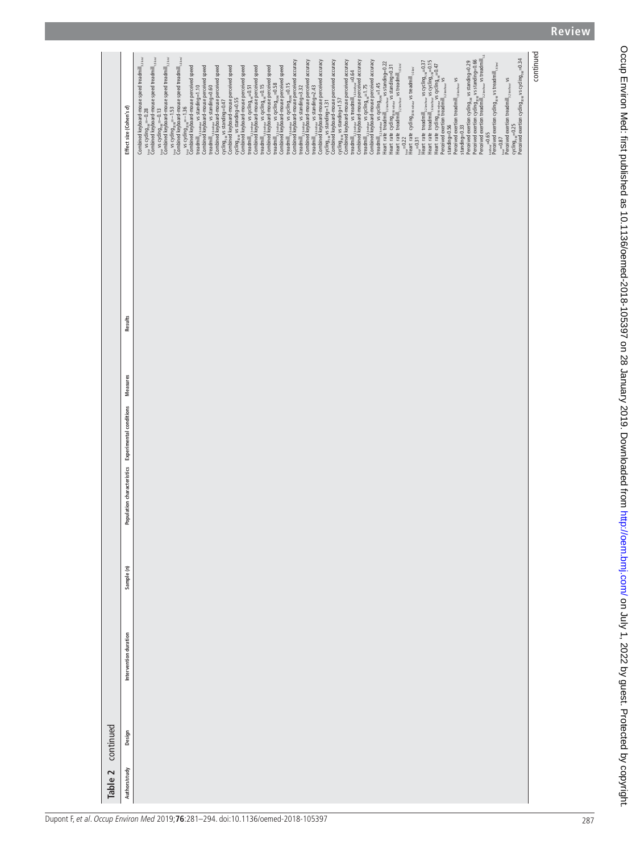| 1                                                                                                                          |  |
|----------------------------------------------------------------------------------------------------------------------------|--|
|                                                                                                                            |  |
|                                                                                                                            |  |
|                                                                                                                            |  |
|                                                                                                                            |  |
|                                                                                                                            |  |
|                                                                                                                            |  |
| İ                                                                                                                          |  |
|                                                                                                                            |  |
| )<br>^<br>Ć                                                                                                                |  |
|                                                                                                                            |  |
|                                                                                                                            |  |
|                                                                                                                            |  |
|                                                                                                                            |  |
|                                                                                                                            |  |
|                                                                                                                            |  |
|                                                                                                                            |  |
|                                                                                                                            |  |
| <b>DANS ACCAN CONDI</b>                                                                                                    |  |
|                                                                                                                            |  |
|                                                                                                                            |  |
|                                                                                                                            |  |
|                                                                                                                            |  |
| likiloli ikoqi hikoqi baliqadi. Turiyo ili hoqi hoqi hoqi hoqi hoqi hikoqi ka qilindi. Turiyo hikoqi hikoqi hi<br>$\vdots$ |  |
|                                                                                                                            |  |
|                                                                                                                            |  |
| ì                                                                                                                          |  |
|                                                                                                                            |  |
|                                                                                                                            |  |
| !<br>.                                                                                                                     |  |
|                                                                                                                            |  |
| om http                                                                                                                    |  |
|                                                                                                                            |  |
|                                                                                                                            |  |
|                                                                                                                            |  |
|                                                                                                                            |  |
|                                                                                                                            |  |
|                                                                                                                            |  |
|                                                                                                                            |  |
|                                                                                                                            |  |
| ו<br>ו                                                                                                                     |  |
| ।<br>१                                                                                                                     |  |
| I                                                                                                                          |  |
| ׇ֚֡                                                                                                                        |  |
|                                                                                                                            |  |
|                                                                                                                            |  |
|                                                                                                                            |  |
|                                                                                                                            |  |
|                                                                                                                            |  |
|                                                                                                                            |  |

| Perceived exertion cycling <sub>30W</sub> vs standing=0.66<br>Perceived exertion treadmill <sub>1.2</sub> $_{\text{lmhow}}$ vs treadmill <sub>1.6</sub><br>Combined keyboard-mouse speed treadmill <sub>32</sub> km/<br>$\sum_{n=0}^{\infty}$ vs cycling <sub>, pw</sub> =–1, 53<br>Combined keyboard-mouse speed treadmill <sub>, sm/</sub><br>$\sum_{n=0}^{\infty}$ vs cycling, <sub>pw</sub> =–1, 36<br>Combined keyboard-mouse perceived speed<br>$_{\text{hour}}$ vs cycling, $_{\text{w}}$ = -0.28<br>Combined keyboard-mouse speed treadmill <sub>15</sub> $_{\text{km}}$<br>$_{\text{hour}}$ vs cycling, $_{\text{w}}$ = -0.13<br>Combined keyboard-mouse speed treadmill <sub>12</sub> $_{\text{rm}}$<br>cycling, <sub>w</sub> =0.25<br>Perceived exertion cycling <sub>sow</sub> vs cycling, <sub>w</sub> =0.34<br>treadmill <sub>16</sub> km/koz vs cycling <sub>30 W</sub> =0.15<br>Combined keyboard-mouse perceived accuracy<br>treadmill <sub>32</sub> $_{\text{lm} \text{log} \text{}}$ vs standing=3.32<br>Combined keyboard-mouse perceived accuracy<br>cycling <sub>30</sub> w vs standing=1.57<br>Combined keyboard-mouse perceived accuracy<br>treadmill <sub>32 kmhour</sub> vs treadmill <sub>16 kmhour</sub> =0.64<br>Combined keyboard-mouse perceived accuracy<br>treadmill <sub>32</sub> $_{\text{pmax}}$ vs cycling, $_{\text{w}}$ =1.75<br>Combined keyboard-mouse perceived accuracy<br>treadmill <sub>16 km/hour</sub> vs standing=2.43<br>Combined keyboard-mouse perceived accuracy<br>cycling <sub>s w</sub> vs standing=1.31<br>Combined keyboard-mouse perceived accuracy<br>e =0.31<br>Heart rate treadmil  المستصدر vs cycling, =0.37<br>Heart rate treadmil  المستصدر vs cycling, =0.37<br>Heart rate cycling, <sub>will may</sub> vs cycling, =0.47<br>Perceived exertion cycling, ws standing=0.29<br>treadmill $_{12 \text{ times}}$ vs Cycling <sub>ove</sub> $=$ 1.45<br>Heart rate treadmill $_{12 \text{ times}}$ vs standing=0.22<br>Heart rate cycling <sub>overnear</sub> vs standing=0.31<br>Heart rate treadmill <sub>1.3 temsear</sub> vs treadmill <sub>1.6me</sub><br>$\frac{1}{k_{\text{max}}} = 0.65$<br>Perceived exertion cycling <sub>30w</sub> vs treadmill <sub>1.6km</sub><br>treadmill <sub>32</sub> km/kogr vs standing=1.10<br>Combined keyboard-mouse perceived speed<br>treadmill <sub>16</sub> <sub>kmhour</sub> vs standing=0.60<br>Combined keyboard-mouse perceived speed<br>cycling <sub>s</sub> ws standing=0.47<br>Combined keyboard-mouse perceived speed<br>cycling <sub>3ow</sub> vs standing=0.55<br>Combined keyboard-mouse perceived speed<br>treadmill <sub>32</sub> $_{\text{lm} \text{log} x}$ vs cycling <sub>s <math>w</math></sub> =0.51<br>Combined keyboard-mouse perceived speed<br>treadmill <sub>16</sub> $\frac{1}{k}$ vs cycling <sub>w</sub> =0.15<br>Combined keyboard-mouse perceived speed<br>treadmill <sub>32</sub> <sub>kmhour</sub> vs cycling <sub>30W</sub> =0.58<br>Combined keyboard-mouse perceived speed<br>$\frac{1}{168}$ rate cycling <sub>30W mhour</sub> vs treadmill <sub>1.6km</sub><br>Perceived exertion treadmill <sub>1.6 km/hour</sub> vs<br>$\frac{1}{\text{Perceived}}$ exertion treadmill <sub>32</sub> $_{\text{amfraw}}$ vs<br>Heart rate cycling $_{30\text{Wm} \text{heat}}$ vs cycling $_{\text{sw}}$<br>Perceived exertion treadmili $_{\text{32 km} \text{kpc}}$ vs<br>Effect size (Cohen's d)<br>standing=0.56<br>$standing = 0.33$<br>Results<br><b>Measures</b><br>Population characteristics Experimental conditions<br>Sample (n)<br>Intervention duration<br>continued<br>Design<br>Table 2 |               | continued |
|------------------------------------------------------------------------------------------------------------------------------------------------------------------------------------------------------------------------------------------------------------------------------------------------------------------------------------------------------------------------------------------------------------------------------------------------------------------------------------------------------------------------------------------------------------------------------------------------------------------------------------------------------------------------------------------------------------------------------------------------------------------------------------------------------------------------------------------------------------------------------------------------------------------------------------------------------------------------------------------------------------------------------------------------------------------------------------------------------------------------------------------------------------------------------------------------------------------------------------------------------------------------------------------------------------------------------------------------------------------------------------------------------------------------------------------------------------------------------------------------------------------------------------------------------------------------------------------------------------------------------------------------------------------------------------------------------------------------------------------------------------------------------------------------------------------------------------------------------------------------------------------------------------------------------------------------------------------------------------------------------------------------------------------------------------------------------------------------------------------------------------------------------------------------------------------------------------------------------------------------------------------------------------------------------------------------------------------------------------------------------------------------------------------------------------------------------------------------------------------------------------------------------------------------------------------------------------------------------------------------------------------------------------------------------------------------------------------------------------------------------------------------------------------------------------------------------------------------------------------------------------------------------------------------------------------------------------------------------------------------------------------------------------------------------------------------------------------------------------------------------------------------------------------------------------------------------------------------------------------------------------------------------------------------------------------------------------------------------------------------------------------------------------------------------------------------------------------------------------------------------------------------------------------------------------------------------------------------------------------------------------|---------------|-----------|
|                                                                                                                                                                                                                                                                                                                                                                                                                                                                                                                                                                                                                                                                                                                                                                                                                                                                                                                                                                                                                                                                                                                                                                                                                                                                                                                                                                                                                                                                                                                                                                                                                                                                                                                                                                                                                                                                                                                                                                                                                                                                                                                                                                                                                                                                                                                                                                                                                                                                                                                                                                                                                                                                                                                                                                                                                                                                                                                                                                                                                                                                                                                                                                                                                                                                                                                                                                                                                                                                                                                                                                                                                                    |               |           |
|                                                                                                                                                                                                                                                                                                                                                                                                                                                                                                                                                                                                                                                                                                                                                                                                                                                                                                                                                                                                                                                                                                                                                                                                                                                                                                                                                                                                                                                                                                                                                                                                                                                                                                                                                                                                                                                                                                                                                                                                                                                                                                                                                                                                                                                                                                                                                                                                                                                                                                                                                                                                                                                                                                                                                                                                                                                                                                                                                                                                                                                                                                                                                                                                                                                                                                                                                                                                                                                                                                                                                                                                                                    |               |           |
|                                                                                                                                                                                                                                                                                                                                                                                                                                                                                                                                                                                                                                                                                                                                                                                                                                                                                                                                                                                                                                                                                                                                                                                                                                                                                                                                                                                                                                                                                                                                                                                                                                                                                                                                                                                                                                                                                                                                                                                                                                                                                                                                                                                                                                                                                                                                                                                                                                                                                                                                                                                                                                                                                                                                                                                                                                                                                                                                                                                                                                                                                                                                                                                                                                                                                                                                                                                                                                                                                                                                                                                                                                    |               |           |
|                                                                                                                                                                                                                                                                                                                                                                                                                                                                                                                                                                                                                                                                                                                                                                                                                                                                                                                                                                                                                                                                                                                                                                                                                                                                                                                                                                                                                                                                                                                                                                                                                                                                                                                                                                                                                                                                                                                                                                                                                                                                                                                                                                                                                                                                                                                                                                                                                                                                                                                                                                                                                                                                                                                                                                                                                                                                                                                                                                                                                                                                                                                                                                                                                                                                                                                                                                                                                                                                                                                                                                                                                                    |               |           |
|                                                                                                                                                                                                                                                                                                                                                                                                                                                                                                                                                                                                                                                                                                                                                                                                                                                                                                                                                                                                                                                                                                                                                                                                                                                                                                                                                                                                                                                                                                                                                                                                                                                                                                                                                                                                                                                                                                                                                                                                                                                                                                                                                                                                                                                                                                                                                                                                                                                                                                                                                                                                                                                                                                                                                                                                                                                                                                                                                                                                                                                                                                                                                                                                                                                                                                                                                                                                                                                                                                                                                                                                                                    |               |           |
|                                                                                                                                                                                                                                                                                                                                                                                                                                                                                                                                                                                                                                                                                                                                                                                                                                                                                                                                                                                                                                                                                                                                                                                                                                                                                                                                                                                                                                                                                                                                                                                                                                                                                                                                                                                                                                                                                                                                                                                                                                                                                                                                                                                                                                                                                                                                                                                                                                                                                                                                                                                                                                                                                                                                                                                                                                                                                                                                                                                                                                                                                                                                                                                                                                                                                                                                                                                                                                                                                                                                                                                                                                    |               |           |
|                                                                                                                                                                                                                                                                                                                                                                                                                                                                                                                                                                                                                                                                                                                                                                                                                                                                                                                                                                                                                                                                                                                                                                                                                                                                                                                                                                                                                                                                                                                                                                                                                                                                                                                                                                                                                                                                                                                                                                                                                                                                                                                                                                                                                                                                                                                                                                                                                                                                                                                                                                                                                                                                                                                                                                                                                                                                                                                                                                                                                                                                                                                                                                                                                                                                                                                                                                                                                                                                                                                                                                                                                                    |               |           |
|                                                                                                                                                                                                                                                                                                                                                                                                                                                                                                                                                                                                                                                                                                                                                                                                                                                                                                                                                                                                                                                                                                                                                                                                                                                                                                                                                                                                                                                                                                                                                                                                                                                                                                                                                                                                                                                                                                                                                                                                                                                                                                                                                                                                                                                                                                                                                                                                                                                                                                                                                                                                                                                                                                                                                                                                                                                                                                                                                                                                                                                                                                                                                                                                                                                                                                                                                                                                                                                                                                                                                                                                                                    |               |           |
|                                                                                                                                                                                                                                                                                                                                                                                                                                                                                                                                                                                                                                                                                                                                                                                                                                                                                                                                                                                                                                                                                                                                                                                                                                                                                                                                                                                                                                                                                                                                                                                                                                                                                                                                                                                                                                                                                                                                                                                                                                                                                                                                                                                                                                                                                                                                                                                                                                                                                                                                                                                                                                                                                                                                                                                                                                                                                                                                                                                                                                                                                                                                                                                                                                                                                                                                                                                                                                                                                                                                                                                                                                    |               |           |
|                                                                                                                                                                                                                                                                                                                                                                                                                                                                                                                                                                                                                                                                                                                                                                                                                                                                                                                                                                                                                                                                                                                                                                                                                                                                                                                                                                                                                                                                                                                                                                                                                                                                                                                                                                                                                                                                                                                                                                                                                                                                                                                                                                                                                                                                                                                                                                                                                                                                                                                                                                                                                                                                                                                                                                                                                                                                                                                                                                                                                                                                                                                                                                                                                                                                                                                                                                                                                                                                                                                                                                                                                                    |               |           |
|                                                                                                                                                                                                                                                                                                                                                                                                                                                                                                                                                                                                                                                                                                                                                                                                                                                                                                                                                                                                                                                                                                                                                                                                                                                                                                                                                                                                                                                                                                                                                                                                                                                                                                                                                                                                                                                                                                                                                                                                                                                                                                                                                                                                                                                                                                                                                                                                                                                                                                                                                                                                                                                                                                                                                                                                                                                                                                                                                                                                                                                                                                                                                                                                                                                                                                                                                                                                                                                                                                                                                                                                                                    |               |           |
|                                                                                                                                                                                                                                                                                                                                                                                                                                                                                                                                                                                                                                                                                                                                                                                                                                                                                                                                                                                                                                                                                                                                                                                                                                                                                                                                                                                                                                                                                                                                                                                                                                                                                                                                                                                                                                                                                                                                                                                                                                                                                                                                                                                                                                                                                                                                                                                                                                                                                                                                                                                                                                                                                                                                                                                                                                                                                                                                                                                                                                                                                                                                                                                                                                                                                                                                                                                                                                                                                                                                                                                                                                    |               |           |
|                                                                                                                                                                                                                                                                                                                                                                                                                                                                                                                                                                                                                                                                                                                                                                                                                                                                                                                                                                                                                                                                                                                                                                                                                                                                                                                                                                                                                                                                                                                                                                                                                                                                                                                                                                                                                                                                                                                                                                                                                                                                                                                                                                                                                                                                                                                                                                                                                                                                                                                                                                                                                                                                                                                                                                                                                                                                                                                                                                                                                                                                                                                                                                                                                                                                                                                                                                                                                                                                                                                                                                                                                                    |               |           |
|                                                                                                                                                                                                                                                                                                                                                                                                                                                                                                                                                                                                                                                                                                                                                                                                                                                                                                                                                                                                                                                                                                                                                                                                                                                                                                                                                                                                                                                                                                                                                                                                                                                                                                                                                                                                                                                                                                                                                                                                                                                                                                                                                                                                                                                                                                                                                                                                                                                                                                                                                                                                                                                                                                                                                                                                                                                                                                                                                                                                                                                                                                                                                                                                                                                                                                                                                                                                                                                                                                                                                                                                                                    |               |           |
|                                                                                                                                                                                                                                                                                                                                                                                                                                                                                                                                                                                                                                                                                                                                                                                                                                                                                                                                                                                                                                                                                                                                                                                                                                                                                                                                                                                                                                                                                                                                                                                                                                                                                                                                                                                                                                                                                                                                                                                                                                                                                                                                                                                                                                                                                                                                                                                                                                                                                                                                                                                                                                                                                                                                                                                                                                                                                                                                                                                                                                                                                                                                                                                                                                                                                                                                                                                                                                                                                                                                                                                                                                    |               |           |
|                                                                                                                                                                                                                                                                                                                                                                                                                                                                                                                                                                                                                                                                                                                                                                                                                                                                                                                                                                                                                                                                                                                                                                                                                                                                                                                                                                                                                                                                                                                                                                                                                                                                                                                                                                                                                                                                                                                                                                                                                                                                                                                                                                                                                                                                                                                                                                                                                                                                                                                                                                                                                                                                                                                                                                                                                                                                                                                                                                                                                                                                                                                                                                                                                                                                                                                                                                                                                                                                                                                                                                                                                                    |               |           |
|                                                                                                                                                                                                                                                                                                                                                                                                                                                                                                                                                                                                                                                                                                                                                                                                                                                                                                                                                                                                                                                                                                                                                                                                                                                                                                                                                                                                                                                                                                                                                                                                                                                                                                                                                                                                                                                                                                                                                                                                                                                                                                                                                                                                                                                                                                                                                                                                                                                                                                                                                                                                                                                                                                                                                                                                                                                                                                                                                                                                                                                                                                                                                                                                                                                                                                                                                                                                                                                                                                                                                                                                                                    |               |           |
|                                                                                                                                                                                                                                                                                                                                                                                                                                                                                                                                                                                                                                                                                                                                                                                                                                                                                                                                                                                                                                                                                                                                                                                                                                                                                                                                                                                                                                                                                                                                                                                                                                                                                                                                                                                                                                                                                                                                                                                                                                                                                                                                                                                                                                                                                                                                                                                                                                                                                                                                                                                                                                                                                                                                                                                                                                                                                                                                                                                                                                                                                                                                                                                                                                                                                                                                                                                                                                                                                                                                                                                                                                    | Authors/study |           |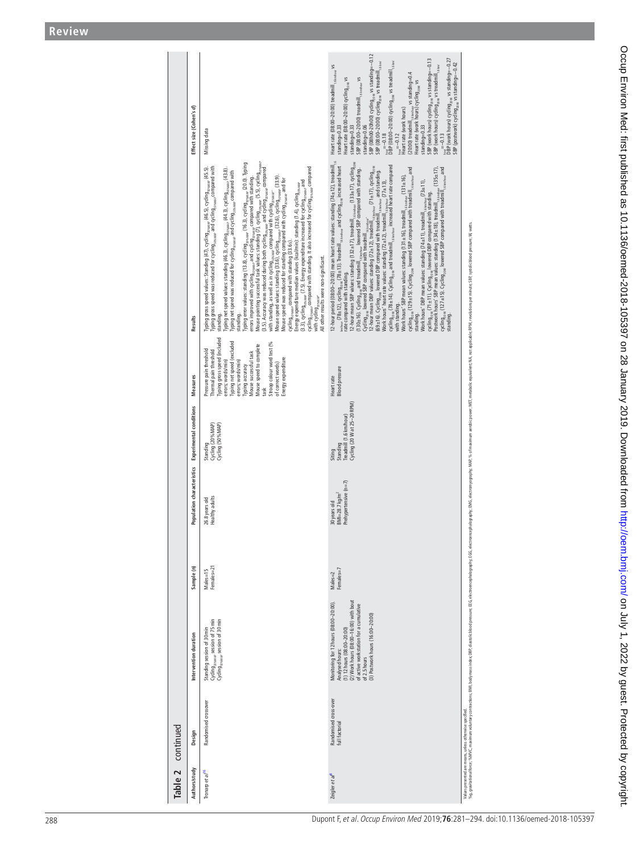| Table 2                    | continued                               |                                                                                                                                                                                                                                   |                         |                                                             |                                                                              |                                                                                                                                                                                                                                                                                                                     |                                                                                                                                                                                                                                                                                                                                                                                                                                                                                                                                                                                                                                                                                                                                                                                                                                                                                                                                                                                                                                                                                                                                                                                                                                                                                                                                                                                                                                                                                                                                                                                                                                                                                                                                                                                                     |                                                                                                                                                                                                                                                                                                                                                                                                                                                                                                                                                                                                                                                                                                                                                                                                                                                                                                                                                               |
|----------------------------|-----------------------------------------|-----------------------------------------------------------------------------------------------------------------------------------------------------------------------------------------------------------------------------------|-------------------------|-------------------------------------------------------------|------------------------------------------------------------------------------|---------------------------------------------------------------------------------------------------------------------------------------------------------------------------------------------------------------------------------------------------------------------------------------------------------------------|-----------------------------------------------------------------------------------------------------------------------------------------------------------------------------------------------------------------------------------------------------------------------------------------------------------------------------------------------------------------------------------------------------------------------------------------------------------------------------------------------------------------------------------------------------------------------------------------------------------------------------------------------------------------------------------------------------------------------------------------------------------------------------------------------------------------------------------------------------------------------------------------------------------------------------------------------------------------------------------------------------------------------------------------------------------------------------------------------------------------------------------------------------------------------------------------------------------------------------------------------------------------------------------------------------------------------------------------------------------------------------------------------------------------------------------------------------------------------------------------------------------------------------------------------------------------------------------------------------------------------------------------------------------------------------------------------------------------------------------------------------------------------------------------------------|---------------------------------------------------------------------------------------------------------------------------------------------------------------------------------------------------------------------------------------------------------------------------------------------------------------------------------------------------------------------------------------------------------------------------------------------------------------------------------------------------------------------------------------------------------------------------------------------------------------------------------------------------------------------------------------------------------------------------------------------------------------------------------------------------------------------------------------------------------------------------------------------------------------------------------------------------------------|
| Authors/study              | Design                                  | Intervention duration                                                                                                                                                                                                             | Sample (n)              | Population characteristics                                  | Experimental conditions                                                      | Measures                                                                                                                                                                                                                                                                                                            | Results                                                                                                                                                                                                                                                                                                                                                                                                                                                                                                                                                                                                                                                                                                                                                                                                                                                                                                                                                                                                                                                                                                                                                                                                                                                                                                                                                                                                                                                                                                                                                                                                                                                                                                                                                                                             | Effect size (Cohen's d)                                                                                                                                                                                                                                                                                                                                                                                                                                                                                                                                                                                                                                                                                                                                                                                                                                                                                                                                       |
| Tronarpet al <sup>16</sup> | Randomised crossover                    | Cycling <sub>20%Me</sub> session of 75 min<br>Cycling <sub>sos Map</sub> session of 30 min<br>Standing session of 30 min                                                                                                          | Females=21<br>Males=15  | Healthy adults<br>26.8 years old                            | Cycling (20%MAP)<br>Cycling (50%MAP)<br>Standing                             | Typing gross speed (included<br>Typing net speed (excluded<br>Stroop colour word test (%<br>Mouse speed to complete<br>Pressure pain threshold<br>Thermal pain threshold<br>Mouse successful task<br>Energy expenditure<br>errors; words/min)<br>errors; words/min)<br>of correct words)<br>Typing accuracy<br>task | Mouse pointing successful task values: standing (7), cycling some (5.5), cycling some<br>Typing error values: standing (13.8), cycling <sub>20%Me</sub> (16.3), cycling <sub>50%Me</sub> (20.0). Typing<br>cycling, <sub>on Map</sub> compared with standing. It also increased for cycling, sure compared<br>Typing gross speed values: Standing (47), cycling sause (46.5), cycling sause (45.5).<br>yping gross speed was reduced for cycling <sub>sysMe</sub> and cycling <sub>20%Me</sub> compared with<br>(3.5). Accuracy was reduced during both cycling some and cycling some compared<br>Typing net speed values: standing (46.3), cycling <sub>.08Me</sub> (44.3), cycling. <sub>08Me</sub> (43.8).<br>Typing net speed was reduced for cycling <sub>sosmap</sub> and cycling <sub>205map</sub> compared with<br>Mouse speed values: standing (33.6), cycling www. (32.6), cycling (53.9).<br>errors improved with cycling <sub>sosmus</sub> and cycling <sub>rosmus</sub> compared with standing.<br>Mouse speed was reduced for standing compared with cycling Solve and for<br>3.3), cycling <sub>ossate</sub> (7.5). Energy expenditure increased for cycling <sub>ossate</sub> and<br>Energy expenditure median values (kcal/min): standing (1.4), cycling system<br>with standing, as well as in cycling <sub>syssus</sub> , compared with cycling <sub>205 MW</sub> .<br>cycling <sub>sos Me</sub> compared with standing (33.6 s).<br>All other results were non-significant.<br>with cycling <sub>20%MAP</sub> .<br>standing.<br>standing.                                                                                                                                                                                                                                       | Missing data                                                                                                                                                                                                                                                                                                                                                                                                                                                                                                                                                                                                                                                                                                                                                                                                                                                                                                                                                  |
| Zeigler et al <sup>6</sup> | Randomised cross-over<br>full factorial | (2) Work hours (08:00-16:00) with bout<br>Monitoring for 12 hours (08:00-20:00).<br>of active workstation for a cumulative<br>(3) Postwork hours (16:00-20:00)<br>$(1)$ 12 hours (08:00-20:00)<br>Analysed hours:<br>of 2.5 hours | Females=7<br>$Male = 2$ | Prehypertensive (n=7)<br>$BMI = 28.7 kg/m2$<br>30 years old | Cycling (20 W at 25-20 RPM)<br>Treadmill (1.6 km/hour)<br>Standing<br>Siting | <b>Blood</b> pressure<br>Heart rate                                                                                                                                                                                                                                                                                 | 12-hour period (08:00-20:00) mean heart rate values: standing (74±12), treadmill, $_{t_6}$<br>12-hour mean SBP values: standing (132 $\pm$ 17), treadmill, $_{\rm 6kmbow}$ (133 $\pm$ 17), cycling $_{\rm 90W}$<br>$\mathsf{cyling}_{20\,\mathsf{W}}$ (78±14). $\mathsf{Cyling}_{2\,\mathsf{W}}$ and treadmill $_{\mathsf{gkm} \mathsf{box}}$ increased heart rate compared<br>knhour (78±12), cycling <sub>20</sub> , (78±13). Treadmill <sub>, 8knhour</sub> and cycling <sub>20</sub> , uncreased heart<br>$_{1.6\text{ km/hou}}$ $(71\pm17)$ , cycling <sub>20W</sub><br>$\gamma$ cling $_{20}$ (i (129±15). Cycling $_{20}$ $_{\rm w}$ lowered SBP compared with treadmill $_{ts~trans}$ and<br>Postwork hours' SBP mean values: standing (134±18), treadmill, s <sub>kmhour</sub> (135±17),<br>cycling <sub>20w</sub> (127±15). Cycling <sub>20w</sub> lowered SBP compared with treadmill $_{ts_{km}$ <sub>hour</sub> and<br>(130±16). Cycling <sub>.org</sub> and treadmill.combared SBP compared with standing.<br>(69±16). Cycling <sub>20</sub> w lowered DBP compared with treadmill <sub>1,6kmhour</sub> and standing.<br>$(131 \pm 16)$<br>Work hours' DBP mean values: standing (74±11), treadmillis $_{\text{km,log}}$ (73±11),<br>Work hours' heart rate values: standing (72±12), treadmill, $_{\text{fskathosar}}$ (77±13),<br>cycling <sub>20w</sub> (71±11). Cycling <sub>20 w</sub> lowered DBP compared with standing.<br>Work hours' SBP mean values: standing (131±16), treadmill <sub>1,6 km/our</sub><br>$\mathrm{Cyclin}_{\mathrm{J_{\mathrm{co}}}}$ lowered SBP compared with treadmill $_{t_\mathrm{g,mnuc}}$ .<br>12-hour mean DBP values: standing (72±12), treadmill $_{t_\mathrm{g}}$<br>rate compared with standing.<br>with standing.<br>standing.<br>itanding. | SBP (08h00-20h00) cycling $_{20W}$ vs standing= $-0.12$<br>$\frac{1}{\text{box}}$ =–0.13<br>DBP (work hours) cycling <sub>.ow</sub> vs standing=–0.27<br>SBP (work hours) cycling <sub>20w</sub> vs standing=-0.13<br>$\frac{1}{1000}$ (08:00–20:00) cycling $_{20W}$ vs treadmill $_{1.6\,km/s}$<br>SBP (08:00-20:00) cycling <sub>20 w</sub> vs treadmill <sub>1.6 km</sub><br>SBP (postwork) cycling <sub>20 w</sub> vs standing=-0.42<br>SBP (work hours) cycling <sub>20W</sub> vs treadmill <sub>1.6 km</sub><br>Heart rate (08:00-20:00) treadmill <sub>16 km/hour</sub> vs<br>$(20:00)$ treadmill <sub>1.6km/pgr</sub> vs standing=0.4<br>Heart rate (08:00-20:00) cycling <sub>20 W</sub> vs<br>SBP (08:00-20:00) treadmill <sub>1.6kmhour</sub> vs<br>Heart rate (work hours) cycling <sub>20w</sub> vs<br><sub>hour</sub> =-0.12<br>Heart rate (work hours)<br>$standing = 0.06$<br>$standing = 0.33$<br>$standarding = 0.33$<br>$standing = 0.33$ |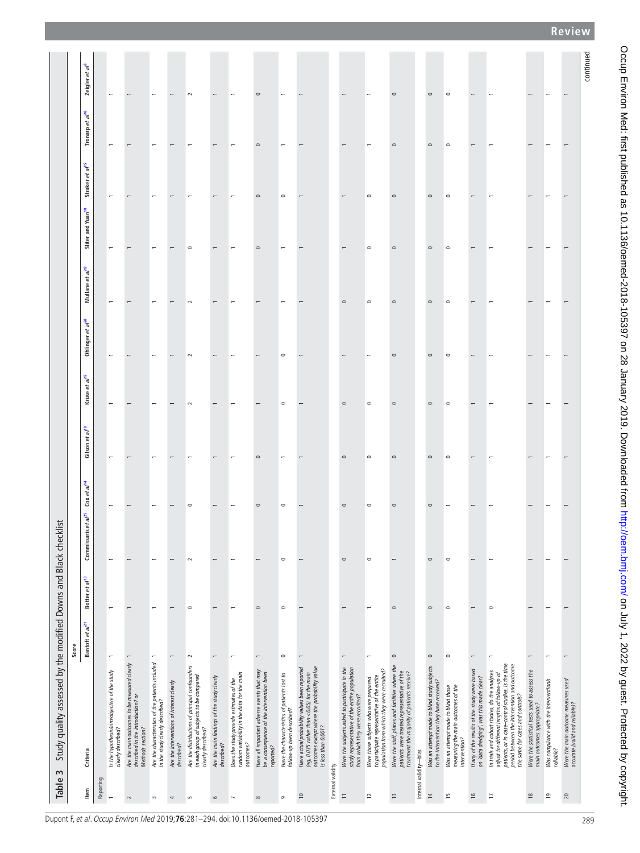<span id="page-8-0"></span>

| Table 3                | Study quality assessed by the modified Downs and Black checkli                                                                                                                                                                        |                             |                            | ist                          |                |                            |                           |                              |                             |                               |                             |                             |                            |
|------------------------|---------------------------------------------------------------------------------------------------------------------------------------------------------------------------------------------------------------------------------------|-----------------------------|----------------------------|------------------------------|----------------|----------------------------|---------------------------|------------------------------|-----------------------------|-------------------------------|-----------------------------|-----------------------------|----------------------------|
|                        |                                                                                                                                                                                                                                       | Score                       |                            |                              |                |                            |                           |                              |                             |                               |                             |                             |                            |
| ltem                   | Criteria                                                                                                                                                                                                                              | Bantoft et al <sup>21</sup> | Botter et al <sup>13</sup> | et a $l^{25}$<br>Commissaris | Cox et al $^4$ | Gilson et al <sup>18</sup> | Kruse et al <sup>17</sup> | Ohlinger et al <sup>20</sup> | Mullane et al <sup>19</sup> | Sliter and Yuan <sup>10</sup> | Straker et al <sup>15</sup> | Tronarp et al <sup>16</sup> | Zeigler et al <sup>8</sup> |
| Reporting              |                                                                                                                                                                                                                                       |                             |                            |                              |                |                            |                           |                              |                             |                               |                             |                             |                            |
| $\overline{a}$         | Is the hypothesis/aim/objective of the study<br>clearly described?                                                                                                                                                                    |                             |                            |                              |                |                            |                           |                              |                             |                               |                             |                             |                            |
| 2                      | Are the main outcomes to be measured clearly<br>described in the introduction? or<br>Methods section?                                                                                                                                 |                             |                            |                              |                |                            |                           |                              |                             |                               |                             |                             |                            |
| $\sim$                 | Are the characteristics of the patients included<br>in the study clearly described?                                                                                                                                                   | $\overline{ }$              |                            |                              |                |                            |                           |                              |                             |                               |                             |                             |                            |
| 4                      | Are the interventions of interest dearly<br>described?                                                                                                                                                                                |                             |                            |                              |                |                            |                           |                              |                             |                               |                             |                             |                            |
| $\overline{5}$         | Are the distributions of principal confounders<br>in each group of subjects to be compared<br>clearly described?                                                                                                                      | $\sim$                      | $\circ$                    | $\sim$                       |                |                            |                           |                              |                             | $\circ$                       |                             |                             |                            |
| $\circ$                | Are the main findings of the study clearly<br>described?                                                                                                                                                                              |                             |                            |                              |                |                            |                           |                              |                             |                               |                             |                             |                            |
| $\overline{ }$         | random variability in the data for the main<br>Does the study provide estimates of the<br>outcomes?                                                                                                                                   |                             |                            |                              |                |                            |                           |                              |                             |                               |                             |                             |                            |
| $\infty$               | Have all important adverse events that may<br>be a consequence of the intervention been<br>reported?                                                                                                                                  |                             | $\circ$                    |                              | $\circ$        | $\circ$                    |                           |                              |                             | $\circ$                       | $\circ$                     | $\circ$                     | $\circ$                    |
| $\sigma$               | Have the characteristics of patients lost to<br>follow-up been described?                                                                                                                                                             | $\circ$                     | $\circ$                    | $\circ$                      | $\circ$        |                            | $\circ$                   | $\circ$                      |                             |                               | $\circ$                     |                             |                            |
| $\overline{10}$        | outcomes except where the probability value<br>is less than 0.001?<br>Have actual probability values been reported<br>(eg, 0.035 rather than < 0.05) for the main                                                                     |                             |                            |                              |                |                            |                           |                              |                             |                               |                             |                             |                            |
| External validity      |                                                                                                                                                                                                                                       |                             |                            |                              |                |                            |                           |                              |                             |                               |                             |                             |                            |
| $\overline{-}$         | Were the subjects asked to participate in the<br>study representative of the entire population<br>from which they were recruited?                                                                                                     |                             |                            | $\circ$                      | $\circ$        | $\circ$                    | $\circ$                   |                              | $\circ$                     |                               |                             |                             |                            |
| $\overline{c}$         | Were those subjects who were prepared<br>to participate representative of the entire<br>population from which they were recruited?                                                                                                    |                             |                            | $\circ$                      | $\circ$        | $\circ$                    | $\circ$                   |                              | $\circ$                     | $\circ$                       | $\circ$                     |                             |                            |
| $\frac{3}{2}$          | Were the staff places and facilities where the<br>patients were treated representative of the<br>treatment the majority of patients receive?                                                                                          | $\circ$                     | $\circ$                    |                              | $\circ$        | $\circ$                    | $\circ$                   | $\circ$                      | $\circ$                     | $\circ$                       | $\circ$                     | $\circ$                     | $\circ$                    |
| Internal validity-bias |                                                                                                                                                                                                                                       |                             |                            |                              |                |                            |                           |                              |                             |                               |                             |                             |                            |
| $\overline{1}$         | Was an attempt made to blind study subjects<br>to the intervention they have received?                                                                                                                                                | $\circ$                     | $\circ$                    | $\circ$                      | $\circ$        | $\circ$                    | $\circ$                   | $\circ$                      | $\circ$                     | $\circ$                       | $\circ$                     | $\circ$                     | $\circ$                    |
| 15                     | Was an attempt made to blind those<br>measuring the main outcomes of the<br>intervention?                                                                                                                                             | $\circ$                     | $\circ$                    | $\circ$                      |                | $\subset$                  | $\subset$                 | $\subset$                    | $\circ$                     | $\circ$                       | $\circ$                     | $\circ$                     | $\circ$                    |
| $\frac{6}{2}$          | If any of the results of the study were based<br>on 'data dredging', was this made clear?                                                                                                                                             | $\overline{\phantom{0}}$    |                            | $\overline{ }$               |                |                            |                           |                              |                             |                               |                             |                             |                            |
| $\overline{1}$         | adjust for different lengths of follow-up of<br>patients, or in case-control studies, is the time<br>period between the intervention and outcome<br>In trials and cohort studies, do the analyses<br>the same for cases and controls? |                             | $\circ$                    |                              |                |                            |                           |                              |                             |                               |                             |                             |                            |
| $18$                   | Were the statistical tests used to assess the<br>main outcomes appropriate?                                                                                                                                                           | $\overline{ }$              |                            |                              |                |                            |                           |                              |                             |                               |                             |                             |                            |
| $\overline{0}$         | Was compliance with the intervention/s<br>reliable?                                                                                                                                                                                   |                             |                            |                              |                |                            |                           |                              |                             |                               |                             |                             |                            |
| 20                     | Were the main outcome measures used<br>accurate (valid and reliable)?                                                                                                                                                                 |                             |                            |                              |                |                            |                           |                              |                             |                               |                             |                             |                            |
|                        |                                                                                                                                                                                                                                       |                             |                            |                              |                |                            |                           |                              |                             |                               |                             |                             | continued                  |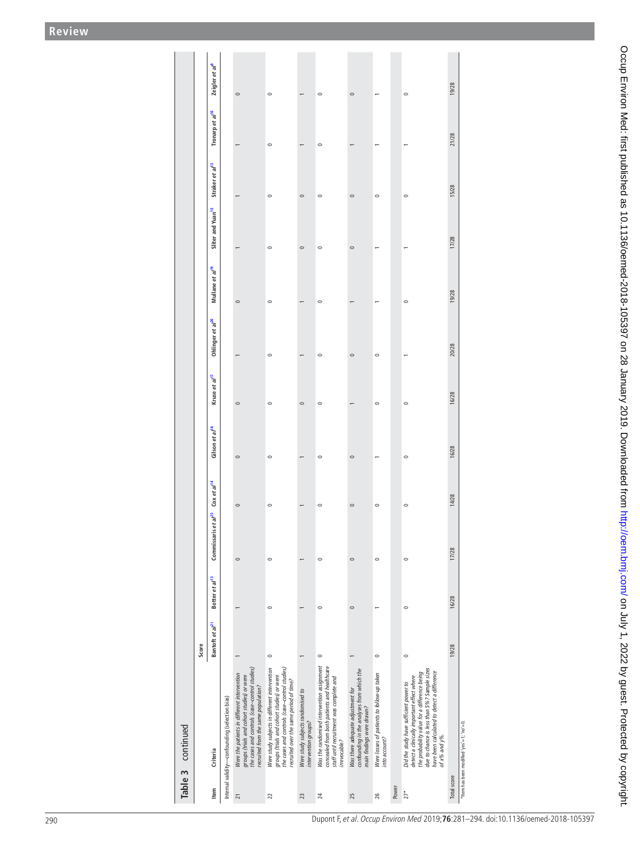| 21/28<br>$\circ$<br>$\circ$<br>15/28<br>$\circ$<br>$\circ$<br>$\circ$<br>$\circ$<br>$\circ$<br>$\circ$<br>17/28<br>$\circ$<br>$\circ$<br>$\circ$<br>$\circ$<br>19/28<br>$\circ$<br>$\circ$<br>$\circ$<br>$\circ$<br>20/28<br>$\circ$<br>$\circ$<br>$\circ$<br>$\circ$<br>16/28<br>$\circ$<br>$\circ$<br>$\circ$<br>$\circ$<br>$\circ$<br>$\circ$<br>16/28<br>$\circ$<br>$\circ$<br>$\circ$<br>$\circ$<br>$\circ$<br>14/28<br>$\circ$<br>$\circ$<br>$\circ$<br>$\circ$<br>$\circ$<br>$\circ$<br>17/28<br>$\circ$<br>$\circ$<br>$\circ$<br>$\circ$<br>$\circ$<br>$\circ$<br>16/28<br>$\circ$<br>$\circ$<br>$\circ$<br>$\circ$<br>19/28<br>$\circ$<br>$\circ$<br>$\circ$<br>$\circ$<br>Was the randomised intervention assignment<br>concealed from both patients and healthcare<br>the cases and controls (case-control studies)<br>the cases and controls (case-control studies)<br>due to chance is less than 5%? Sample sizes<br>Were study subjects in different intervention<br>confounding in the analyses from which the<br>have been calculated to detect a difference<br>the probability value for a difference being<br>Were the patients in different intervention<br>Were losses of patients to follow-up taken<br>groups (trials and cohort studies) or were<br>groups (trials and cohort studies) or were<br>detect a clinically important effect where<br>staff until recruitment was complete and<br>recruited over the same period of time?<br>Did the study have sufficient power to<br>recruited from the same population?<br>Was there adequate adjustment for<br>Were study subjects randomised to<br>Internal validity-confounding (selection bias)<br>main findings were drawn?<br>intervention groups?<br>of x% and y%.<br>into account?<br>irrevocable? | Table 3         | continued | Score                       |                            |                                 |                   |                            |                           |                              |                             |                               |                             |                             |
|--------------------------------------------------------------------------------------------------------------------------------------------------------------------------------------------------------------------------------------------------------------------------------------------------------------------------------------------------------------------------------------------------------------------------------------------------------------------------------------------------------------------------------------------------------------------------------------------------------------------------------------------------------------------------------------------------------------------------------------------------------------------------------------------------------------------------------------------------------------------------------------------------------------------------------------------------------------------------------------------------------------------------------------------------------------------------------------------------------------------------------------------------------------------------------------------------------------------------------------------------------------------------------------------------------------------------------------------------------------------------------------------------------------------------------------------------------------------------------------------------------------------------------------------------------------------------------------------------------------------------------------------------------------------------------------------------------------------------------------------------------------------------------|-----------------|-----------|-----------------------------|----------------------------|---------------------------------|-------------------|----------------------------|---------------------------|------------------------------|-----------------------------|-------------------------------|-----------------------------|-----------------------------|
|                                                                                                                                                                                                                                                                                                                                                                                                                                                                                                                                                                                                                                                                                                                                                                                                                                                                                                                                                                                                                                                                                                                                                                                                                                                                                                                                                                                                                                                                                                                                                                                                                                                                                                                                                                                | Item            | Criteria  | Bantoft et al <sup>21</sup> | Botter et al <sup>13</sup> | Commissaris et al <sup>25</sup> | Cox et al $^{14}$ | Gilson et al <sup>18</sup> | Kruse et al <sup>17</sup> | Ohlinger et al <sup>20</sup> | Mullane et al <sup>19</sup> | Sliter and Yuan <sup>10</sup> | Straker et al <sup>15</sup> | Tronarp et al <sup>16</sup> |
|                                                                                                                                                                                                                                                                                                                                                                                                                                                                                                                                                                                                                                                                                                                                                                                                                                                                                                                                                                                                                                                                                                                                                                                                                                                                                                                                                                                                                                                                                                                                                                                                                                                                                                                                                                                |                 |           |                             |                            |                                 |                   |                            |                           |                              |                             |                               |                             |                             |
|                                                                                                                                                                                                                                                                                                                                                                                                                                                                                                                                                                                                                                                                                                                                                                                                                                                                                                                                                                                                                                                                                                                                                                                                                                                                                                                                                                                                                                                                                                                                                                                                                                                                                                                                                                                | $\overline{21}$ |           |                             |                            |                                 |                   |                            |                           |                              |                             |                               |                             |                             |
|                                                                                                                                                                                                                                                                                                                                                                                                                                                                                                                                                                                                                                                                                                                                                                                                                                                                                                                                                                                                                                                                                                                                                                                                                                                                                                                                                                                                                                                                                                                                                                                                                                                                                                                                                                                | $\overline{2}$  |           |                             |                            |                                 |                   |                            |                           |                              |                             |                               |                             |                             |
|                                                                                                                                                                                                                                                                                                                                                                                                                                                                                                                                                                                                                                                                                                                                                                                                                                                                                                                                                                                                                                                                                                                                                                                                                                                                                                                                                                                                                                                                                                                                                                                                                                                                                                                                                                                | 23              |           |                             |                            |                                 |                   |                            |                           |                              |                             |                               |                             |                             |
|                                                                                                                                                                                                                                                                                                                                                                                                                                                                                                                                                                                                                                                                                                                                                                                                                                                                                                                                                                                                                                                                                                                                                                                                                                                                                                                                                                                                                                                                                                                                                                                                                                                                                                                                                                                | 24              |           |                             |                            |                                 |                   |                            |                           |                              |                             |                               |                             |                             |
|                                                                                                                                                                                                                                                                                                                                                                                                                                                                                                                                                                                                                                                                                                                                                                                                                                                                                                                                                                                                                                                                                                                                                                                                                                                                                                                                                                                                                                                                                                                                                                                                                                                                                                                                                                                | 25              |           |                             |                            |                                 |                   |                            |                           |                              |                             |                               |                             |                             |
|                                                                                                                                                                                                                                                                                                                                                                                                                                                                                                                                                                                                                                                                                                                                                                                                                                                                                                                                                                                                                                                                                                                                                                                                                                                                                                                                                                                                                                                                                                                                                                                                                                                                                                                                                                                | 26              |           |                             |                            |                                 |                   |                            |                           |                              |                             |                               |                             |                             |
|                                                                                                                                                                                                                                                                                                                                                                                                                                                                                                                                                                                                                                                                                                                                                                                                                                                                                                                                                                                                                                                                                                                                                                                                                                                                                                                                                                                                                                                                                                                                                                                                                                                                                                                                                                                | Power           |           |                             |                            |                                 |                   |                            |                           |                              |                             |                               |                             |                             |
|                                                                                                                                                                                                                                                                                                                                                                                                                                                                                                                                                                                                                                                                                                                                                                                                                                                                                                                                                                                                                                                                                                                                                                                                                                                                                                                                                                                                                                                                                                                                                                                                                                                                                                                                                                                | $27*$           |           |                             |                            |                                 |                   |                            |                           |                              |                             |                               |                             |                             |
|                                                                                                                                                                                                                                                                                                                                                                                                                                                                                                                                                                                                                                                                                                                                                                                                                                                                                                                                                                                                                                                                                                                                                                                                                                                                                                                                                                                                                                                                                                                                                                                                                                                                                                                                                                                | Total score     |           |                             |                            |                                 |                   |                            |                           |                              |                             |                               |                             |                             |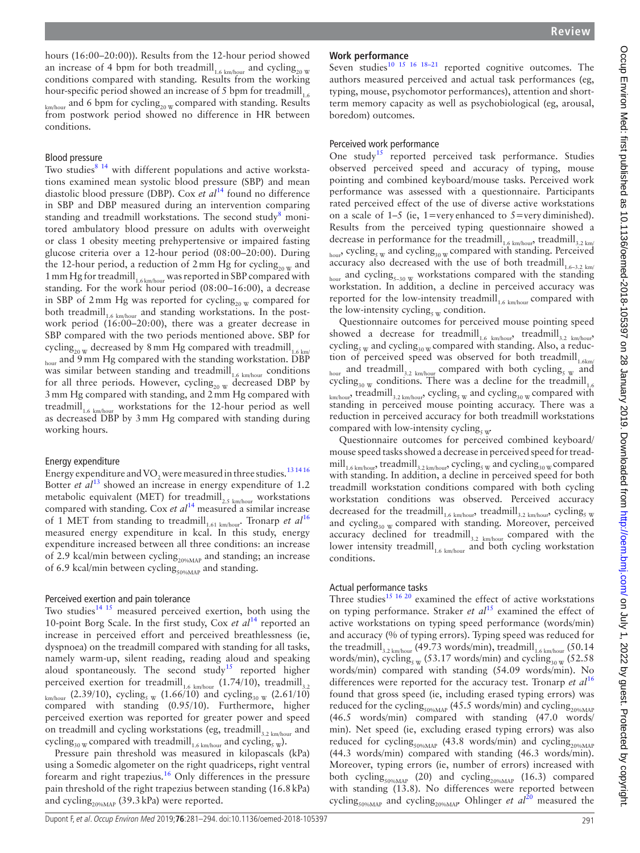hours (16:00–20:00)). Results from the 12-hour period showed an increase of 4 bpm for both treadmill<sub>1.6 km/hour</sub> and cycling<sub>20 W</sub> conditions compared with standing. Results from the working hour-specific period showed an increase of 5 bpm for treadmill<sub>1.6</sub>  $k_{\text{m/hour}}$  and 6 bpm for cycling<sub>20 W</sub> compared with standing. Results from postwork period showed no difference in HR between conditions.

#### Blood pressure

Two studies<sup>8 14</sup> with different populations and active workstations examined mean systolic blood pressure (SBP) and mean diastolic blood pressure (DBP). Cox *et al*<sup>[14](#page-12-13)</sup> found no difference in SBP and DBP measured during an intervention comparing standing and treadmill workstations. The second study<sup>[8](#page-12-6)</sup> monitored ambulatory blood pressure on adults with overweight or class 1 obesity meeting prehypertensive or impaired fasting glucose criteria over a 12-hour period (08:00–20:00). During the 12-hour period, a reduction of 2 mm Hg for cycling<sub>20</sub> w and 1 mm Hg for treadmill<sub>1.6 km/hour</sub> was reported in SBP compared with standing. For the work hour period (08:00–16:00), a decrease in SBP of 2mm Hg was reported for cycling<sub>20</sub> w compared for both treadmill<sub>1.6 km/hour</sub> and standing workstations. In the postwork period (16:00–20:00), there was a greater decrease in SBP compared with the two periods mentioned above. SBP for cycling<sub>20</sub> w decreased by 8 mm Hg compared with treadmill<sub>1.6 km</sub>/ hour and 9 mm Hg compared with the standing workstation. DBP was similar between standing and treadmill<sub>1.6 km/hour</sub> conditions for all three periods. However, cycling<sub>20 W</sub> decreased DBP by 3mm Hg compared with standing, and 2mm Hg compared with treadmill<sub>1.6</sub> km/hour workstations for the 12-hour period as well as decreased DBP by 3mm Hg compared with standing during working hours.

#### Energy expenditure

Energy expenditure and VO<sub>2</sub> were measured in three studies.<sup>[13 14 16](#page-12-11)</sup> Botter *et al*<sup>[13](#page-12-11)</sup> showed an increase in energy expenditure of 1.2 metabolic equivalent (MET) for treadmill<sub>2.5 km/hour</sub> workstations compared with standing. Cox *et al*<sup>[14](#page-12-13)</sup> measured a similar increase of 1 MET from standing to treadmill<sub>1.61</sub> km/hour. Tronarp *et al*<sup>[16](#page-12-16)</sup> measured energy expenditure in kcal. In this study, energy expenditure increased between all three conditions: an increase of 2.9 kcal/min between cycling<sub>20%MAP</sub> and standing; an increase of 6.9 kcal/min between cycling<sub>50%MAP</sub> and standing.

## Perceived exertion and pain tolerance

Two studies<sup>14 15</sup> measured perceived exertion, both using the 10-point Borg Scale. In the first study, Cox *et al*[14](#page-12-13) reported an increase in perceived effort and perceived breathlessness (ie, dyspnoea) on the treadmill compared with standing for all tasks, namely warm-up, silent reading, reading aloud and speaking aloud spontaneously. The second study<sup>15</sup> reported higher perceived exertion for treadmill<sub>1.6 km/hour</sub> (1.74/10), treadmill<sub>3.2</sub>  $k_{\text{m/hour}}$  (2.39/10), cycling<sub>5 W</sub> (1.66/10) and cycling<sub>30 W</sub> (2.61/10) compared with standing (0.95/10). Furthermore, higher perceived exertion was reported for greater power and speed on treadmill and cycling workstations (eg, treadmill<sub>3.2 km/hour</sub> and cycling<sub>30</sub> w compared with treadmill<sub>1.6 km/hour</sub> and cycling<sub>5</sub> w).

Pressure pain threshold was measured in kilopascals (kPa) using a Somedic algometer on the right quadriceps, right ventral forearm and right trapezius.<sup>[16](#page-12-16)</sup> Only differences in the pressure pain threshold of the right trapezius between standing (16.8kPa) and cycling<sub>20%MAP</sub> (39.3 kPa) were reported.

Seven studies<sup>[10 15 16 18–21](#page-12-8)</sup> reported cognitive outcomes. The authors measured perceived and actual task performances (eg, typing, mouse, psychomotor performances), attention and shortterm memory capacity as well as psychobiological (eg, arousal, boredom) outcomes.

## Perceived work performance

One study<sup>15</sup> reported perceived task performance. Studies observed perceived speed and accuracy of typing, mouse pointing and combined keyboard/mouse tasks. Perceived work performance was assessed with a questionnaire. Participants rated perceived effect of the use of diverse active workstations on a scale of  $1-5$  (ie,  $1=$ very enhanced to  $5=$ very diminished). Results from the perceived typing questionnaire showed a decrease in performance for the treadmill<sub>1.6 km/hour</sub>, treadmill<sub>3.2 km/</sub>  $_{\text{hour}}$ , cycling<sub>5 W</sub> and cycling<sub>30 W</sub> compared with standing. Perceived accuracy also decreased with the use of both treadmill<sub>1.6–3.2</sub> km/  $_{\text{hour}}$  and cycling<sub>5–30</sub> w workstations compared with the standing workstation. In addition, a decline in perceived accuracy was reported for the low-intensity treadmill<sub>1.6 km/hour</sub> compared with the low-intensity cycling<sub>s w</sub> condition.

Questionnaire outcomes for perceived mouse pointing speed showed a decrease for treadmill<sub>1.6 km/hour</sub>, treadmill<sub>3.2 km/hour</sub>, cycling<sub>5 w</sub> and cycling<sub>30</sub> w compared with standing. Also, a reduction of perceived speed was observed for both treadmill<sub>1.6km</sub>  $_{\text{hour}}$  and treadmill<sub>3.2 km/hour</sub> compared with both cycling<sub>5 W</sub> and cycling<sub>30</sub> w conditions. There was a decline for the treadmill<sub>1.6</sub>  $\mu_{\rm known}$ , treadmill<sub>3.2 km/hour</sub>, cycling<sub>5 W</sub> and cycling<sub>30 W</sub> compared with standing in perceived mouse pointing accuracy. There was a reduction in perceived accuracy for both treadmill workstations compared with low-intensity cycling<sub>5 W</sub>.

Questionnaire outcomes for perceived combined keyboard/ mouse speed tasks showed a decrease in perceived speed for tread- $\text{mill}_{1.6 \text{ km/hour}}$ , treadmill<sub>3.2 km/hour</sub>, cycling<sub>5 W</sub> and cycling<sub>30 W</sub> compared with standing. In addition, a decline in perceived speed for both treadmill workstation conditions compared with both cycling workstation conditions was observed. Perceived accuracy decreased for the treadmill<sub>1.6 km/hour</sub>, treadmill<sub>3.2 km/hour</sub>, cycling<sub>5 W</sub> and cycling<sub>30</sub> w compared with standing. Moreover, perceived accuracy declined for treadmill<sub>3.2</sub> km/hour compared with the lower intensity treadmill<sub>1.6 km/hour</sub> and both cycling workstation conditions.

## Actual performance tasks

Three studies<sup>[15 16 20](#page-12-14)</sup> examined the effect of active workstations on typing performance. Straker *et al*[15](#page-12-14) examined the effect of active workstations on typing speed performance (words/min) and accuracy (% of typing errors). Typing speed was reduced for the treadmill<sub>3.2 km/hour</sub> (49.73 words/min), treadmill<sub>1.6 km/hour</sub> (50.14 words/min), cycling<sub>5 W</sub> (53.17 words/min) and cycling<sub>30 W</sub> (52.58 words/min) compared with standing (54.09 words/min). No differences were reported for the accuracy test. Tronarp *et al*[16](#page-12-16) found that gross speed (ie, including erased typing errors) was reduced for the cycling<sub>50%MAP</sub> (45.5 words/min) and cycling<sub>20%MAP</sub> (46.5 words/min) compared with standing (47.0 words/ min). Net speed (ie, excluding erased typing errors) was also reduced for cycling<sub>50%MAP</sub> (43.8 words/min) and cycling<sub>20%MAP</sub> (44.3 words/min) compared with standing (46.3 words/min). Moreover, typing errors (ie, number of errors) increased with both cycling<sub>50%MAP</sub> (20) and cycling<sub>20%MAP</sub> (16.3) compared with standing (13.8). No differences were reported between cycling<sub>50%MAP</sub> and cycling<sub>[20](#page-13-2)%MAP</sub> Ohlinger *et al*<sup>20</sup> measured the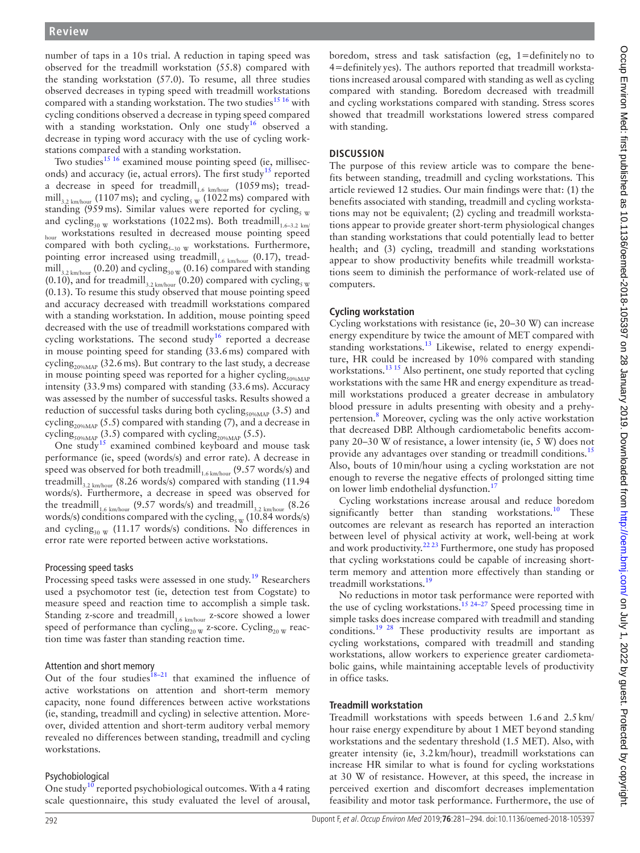number of taps in a 10s trial. A reduction in taping speed was observed for the treadmill workstation (55.8) compared with the standing workstation (57.0). To resume, all three studies observed decreases in typing speed with treadmill workstations compared with a standing workstation. The two studies<sup>15 16</sup> with cycling conditions observed a decrease in typing speed compared with a standing workstation. Only one study<sup>16</sup> observed a decrease in typing word accuracy with the use of cycling workstations compared with a standing workstation.

Two studies<sup>[15 16](#page-12-14)</sup> examined mouse pointing speed (ie, milliseconds) and accuracy (ie, actual errors). The first study<sup>15</sup> reported a decrease in speed for treadmill<sub>1.6 km/hour</sub> (1059ms); tread- $\text{mill}_{_{3.2 \text{ km/hour}}}$  (1107 ms); and cycling<sub>5 W</sub> (1022 ms) compared with standing (959ms). Similar values were reported for cycling, w and cycling<sub>30</sub> w workstations (1022ms). Both treadmill<sub>1.6–3.2</sub> km/ hour workstations resulted in decreased mouse pointing speed compared with both cycling<sub>5–30</sub> w workstations. Furthermore, pointing error increased using treadmill<sub>1.6 km/hour</sub> (0.17), treadmill<sub>3.2</sub> km/hour (0.20) and cycling<sub>30</sub> W (0.16) compared with standing (0.10), and for treadmill<sub>3.2 km/hour</sub> (0.20) compared with cycling<sub>5 W</sub> (0.13). To resume this study observed that mouse pointing speed and accuracy decreased with treadmill workstations compared with a standing workstation. In addition, mouse pointing speed decreased with the use of treadmill workstations compared with cycling workstations. The second study<sup>[16](#page-12-16)</sup> reported a decrease in mouse pointing speed for standing (33.6ms) compared with cycling<sub>20%MAP</sub> (32.6 ms). But contrary to the last study, a decrease in mouse pointing speed was reported for a higher cycling $_{50\%MAP}$ intensity (33.9ms) compared with standing (33.6ms). Accuracy was assessed by the number of successful tasks. Results showed a reduction of successful tasks during both cycling<sub>50%MAP</sub> (3.5) and cycling<sub>20%MAP</sub> (5.5) compared with standing (7), and a decrease in cycling<sub>50%MAP</sub> (3.5) compared with cycling<sub>20%MAP</sub> (5.5).

One study<sup>15</sup> examined combined keyboard and mouse task performance (ie, speed (words/s) and error rate). A decrease in speed was observed for both treadmill<sub>1.6 km/hour</sub> (9.57 words/s) and treadmill<sub>3.2 km/hour</sub> (8.26 words/s) compared with standing (11.94 words/s). Furthermore, a decrease in speed was observed for the treadmill<sub>1.6 km/hour</sub> (9.57 words/s) and treadmill<sub>3.2 km/hour</sub> (8.26 words/s) conditions compared with the cycling<sub>5 W</sub> (10.84 words/s) and cycling<sub>30</sub> W (11.17 words/s) conditions. No differences in error rate were reported between active workstations.

#### Processing speed tasks

Processing speed tasks were assessed in one study.<sup>19</sup> Researchers used a psychomotor test (ie, detection test from Cogstate) to measure speed and reaction time to accomplish a simple task. Standing z-score and treadmill<sub>1.6 km/hour</sub> z-score showed a lower speed of performance than cycling<sub>20 W</sub> z-score. Cycling<sub>20 W</sub> reaction time was faster than standing reaction time.

#### Attention and short memory

Out of the four studies<sup>18-21</sup> that examined the influence of active workstations on attention and short-term memory capacity, none found differences between active workstations (ie, standing, treadmill and cycling) in selective attention. Moreover, divided attention and short-term auditory verbal memory revealed no differences between standing, treadmill and cycling workstations.

## Psychobiological

One study<sup>10</sup> reported psychobiological outcomes. With a 4 rating scale questionnaire, this study evaluated the level of arousal,

## **Discussion**

The purpose of this review article was to compare the benefits between standing, treadmill and cycling workstations. This article reviewed 12 studies. Our main findings were that: (1) the benefits associated with standing, treadmill and cycling workstations may not be equivalent; (2) cycling and treadmill workstations appear to provide greater short-term physiological changes than standing workstations that could potentially lead to better health; and (3) cycling, treadmill and standing workstations appear to show productivity benefits while treadmill workstations seem to diminish the performance of work-related use of computers.

## **Cycling workstation**

Cycling workstations with resistance (ie, 20–30 W) can increase energy expenditure by twice the amount of MET compared with standing workstations.<sup>13</sup> Likewise, related to energy expenditure, HR could be increased by 10% compared with standing workstations.[13 15](#page-12-11) Also pertinent, one study reported that cycling workstations with the same HR and energy expenditure as treadmill workstations produced a greater decrease in ambulatory blood pressure in adults presenting with obesity and a prehy-pertension.<sup>[8](#page-12-6)</sup> Moreover, cycling was the only active workstation that decreased DBP. Although cardiometabolic benefits accompany 20–30 W of resistance, a lower intensity (ie, 5 W) does not provide any advantages over standing or treadmill conditions.<sup>[15](#page-12-14)</sup> Also, bouts of 10min/hour using a cycling workstation are not enough to reverse the negative effects of prolonged sitting time on lower limb endothelial dysfunction.<sup>[17](#page-12-12)</sup>

Cycling workstations increase arousal and reduce boredom significantly better than standing workstations.<sup>[10](#page-12-8)</sup> These outcomes are relevant as research has reported an interaction between level of physical activity at work, well-being at work and work productivity.[22 23](#page-13-4) Furthermore, one study has proposed that cycling workstations could be capable of increasing shortterm memory and attention more effectively than standing or treadmill workstations.<sup>[19](#page-13-3)</sup>

No reductions in motor task performance were reported with the use of cycling workstations.<sup>15 24–27</sup> Speed processing time in simple tasks does increase compared with treadmill and standing conditions.<sup>19</sup> <sup>28</sup> These productivity results are important as cycling workstations, compared with treadmill and standing workstations, allow workers to experience greater cardiometabolic gains, while maintaining acceptable levels of productivity in office tasks.

## **Treadmill workstation**

Treadmill workstations with speeds between 1.6and 2.5km/ hour raise energy expenditure by about 1 MET beyond standing workstations and the sedentary threshold (1.5 MET). Also, with greater intensity (ie, 3.2km/hour), treadmill workstations can increase HR similar to what is found for cycling workstations at 30 W of resistance. However, at this speed, the increase in perceived exertion and discomfort decreases implementation feasibility and motor task performance. Furthermore, the use of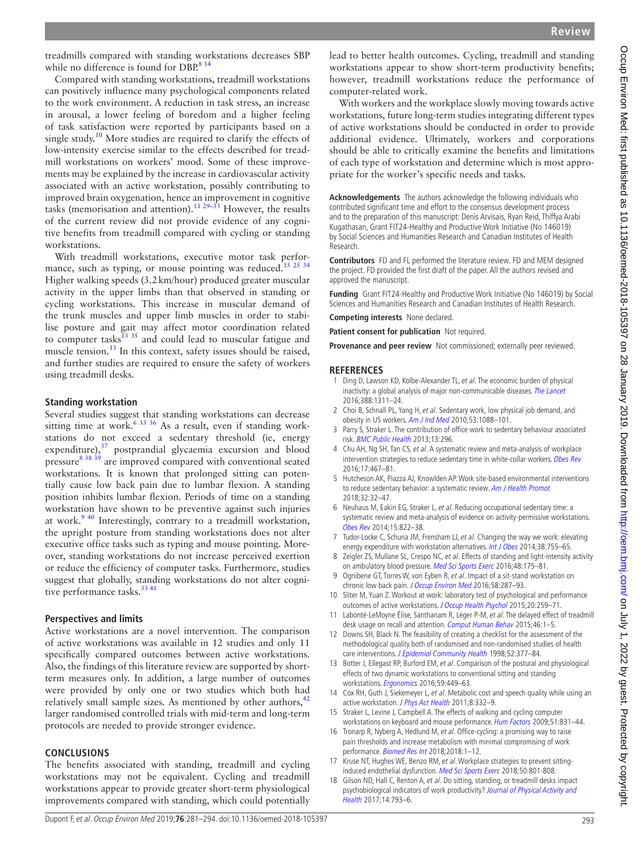treadmills compared with standing workstations decreases SBP while no difference is found for DBP.[8 14](#page-12-6)

Compared with standing workstations, treadmill workstations can positively influence many psychological components related to the work environment. A reduction in task stress, an increase in arousal, a lower feeling of boredom and a higher feeling of task satisfaction were reported by participants based on a single study.<sup>[10](#page-12-8)</sup> More studies are required to clarify the effects of low-intensity exercise similar to the effects described for treadmill workstations on workers' mood. Some of these improvements may be explained by the increase in cardiovascular activity associated with an active workstation, possibly contributing to improved brain oxygenation, hence an improvement in cognitive tasks (memorisation and attention).<sup>11 29–33</sup> However, the results of the current review did not provide evidence of any cognitive benefits from treadmill compared with cycling or standing workstations.

With treadmill workstations, executive motor task perfor-mance, such as typing, or mouse pointing was reduced.<sup>[15 25 34](#page-12-14)</sup> Higher walking speeds (3.2km/hour) produced greater muscular activity in the upper limbs than that observed in standing or cycling workstations. This increase in muscular demand of the trunk muscles and upper limb muscles in order to stabilise posture and gait may affect motor coordination related to computer tasks $^{\overline{13}$  35 and could lead to muscular fatigue and muscle tension.<sup>[13](#page-12-11)</sup> In this context, safety issues should be raised, and further studies are required to ensure the safety of workers using treadmill desks.

#### **Standing workstation**

Several studies suggest that standing workstations can decrease sitting time at work.<sup>6 33 36</sup> As a result, even if standing workstations do not exceed a sedentary threshold (ie, energy expenditure),<sup>[37](#page-13-5)</sup> postprandial glycaemia excursion and blood pressure<sup>[8 38 39](#page-12-6)</sup> are improved compared with conventional seated workstations. It is known that prolonged sitting can potentially cause low back pain due to lumbar flexion. A standing position inhibits lumbar flexion. Periods of time on a standing workstation have shown to be preventive against such injuries at work.<sup>[9 40](#page-12-7)</sup> Interestingly, contrary to a treadmill workstation, the upright posture from standing workstations does not alter executive office tasks such as typing and mouse pointing. Moreover, standing workstations do not increase perceived exertion or reduce the efficiency of computer tasks. Furthermore, studies suggest that globally, standing workstations do not alter cognitive performance tasks.<sup>33 41</sup>

#### **Perspectives and limits**

Active workstations are a novel intervention. The comparison of active workstations was available in 12 studies and only 11 specifically compared outcomes between active workstations. Also, the findings of this literature review are supported by shortterm measures only. In addition, a large number of outcomes were provided by only one or two studies which both had relatively small sample sizes. As mentioned by other authors, $42$ larger randomised controlled trials with mid-term and long-term protocols are needed to provide stronger evidence.

#### **Conclusions**

The benefits associated with standing, treadmill and cycling workstations may not be equivalent. Cycling and treadmill workstations appear to provide greater short-term physiological improvements compared with standing, which could potentially

lead to better health outcomes. Cycling, treadmill and standing workstations appear to show short-term productivity benefits; however, treadmill workstations reduce the performance of computer-related work.

With workers and the workplace slowly moving towards active workstations, future long-term studies integrating different types of active workstations should be conducted in order to provide additional evidence. Ultimately, workers and corporations should be able to critically examine the benefits and limitations of each type of workstation and determine which is most appropriate for the worker's specific needs and tasks.

**Acknowledgements** The authors acknowledge the following individuals who contributed significant time and effort to the consensus development process and to the preparation of this manuscript: Denis Arvisais, Ryan Reid, Thiffya Arabi Kugathasan, Grant FIT24-Healthy and Productive Work Initiative (No 146019) by Social Sciences and Humanities Research and Canadian Institutes of Health Research.

**Contributors** FD and FL performed the literature review. FD and MEM designed the project. FD provided the first draft of the paper. All the authors revised and approved the manuscript.

**Funding** Grant FIT24-Healthy and Productive Work Initiative (No 146019) by Social Sciences and Humanities Research and Canadian Institutes of Health Research.

**Competing interests** None declared.

**Patient consent for publication** Not required.

**Provenance and peer review** Not commissioned; externally peer reviewed.

#### **References**

- <span id="page-12-0"></span>1 Ding D, Lawson KD, Kolbe-Alexander TL, et al. The economic burden of physical inactivity: a global analysis of major non-communicable diseases. [The Lancet](http://dx.doi.org/10.1016/S0140-6736(16)30383-X) 2016;388:1311–24.
- <span id="page-12-1"></span>2 Choi B, Schnall PL, Yang H, et al. Sedentary work, low physical job demand, and obesity in US workers. [Am J Ind Med](http://dx.doi.org/10.1002/ajim.20886) 2010;53:1088–101.
- <span id="page-12-2"></span>3 Parry S, Straker L. The contribution of office work to sedentary behaviour associated risk. [BMC Public Health](http://dx.doi.org/10.1186/1471-2458-13-296) 2013;13:296.
- <span id="page-12-3"></span>4 Chu AH, Ng SH, Tan CS, et al. A systematic review and meta-analysis of workplace intervention strategies to reduce sedentary time in white-collar workers. [Obes Rev](http://dx.doi.org/10.1111/obr.12388) 2016;17:467–81.
- 5 Hutcheson AK, Piazza AJ, Knowlden AP. Work site-based environmental interventions to reduce sedentary behavior: a systematic review. [Am J Health Promot](http://dx.doi.org/10.1177/0890117116674681) 2018;32:32–47.
- <span id="page-12-4"></span>6 Neuhaus M, Eakin EG, Straker L, et al. Reducing occupational sedentary time: a systematic review and meta-analysis of evidence on activity-permissive workstations. [Obes Rev](http://dx.doi.org/10.1111/obr.12201) 2014;15:822–38.
- <span id="page-12-5"></span>7 Tudor-Locke C, Schuna JM, Frensham LJ, et al. Changing the way we work: elevating energy expenditure with workstation alternatives. *[Int J Obes](http://dx.doi.org/10.1038/ijo.2013.223)* 2014:38:755–65.
- <span id="page-12-6"></span>8 Zeigler ZS, Mullane SL, Crespo NC, et al. Effects of standing and light-intensity activity on ambulatory blood pressure. [Med Sci Sports Exerc](http://dx.doi.org/10.1249/MSS.0000000000000754) 2016;48:175-81.
- <span id="page-12-7"></span>9 Ognibene GT, Torres W, von Eyben R, et al. Impact of a sit-stand workstation on chronic low back pain. [J Occup Environ Med](http://dx.doi.org/10.1097/JOM.0000000000000615) 2016;58:287-93.
- <span id="page-12-8"></span>10 Sliter M, Yuan Z. Workout at work: laboratory test of psychological and performance outcomes of active workstations. [J Occup Health Psychol](http://dx.doi.org/10.1037/a0038175) 2015;20:259-71.
- <span id="page-12-9"></span>11 Labonté-LeMoyne Élise, Santhanam R, Léger P-M, et al. The delayed effect of treadmill desk usage on recall and attention. [Comput Human Behav](http://dx.doi.org/10.1016/j.chb.2014.12.054) 2015;46:1-5.
- <span id="page-12-10"></span>12 Downs SH, Black N. The feasibility of creating a checklist for the assessment of the methodological quality both of randomised and non-randomised studies of health care interventions. [J Epidemiol Community Health](http://dx.doi.org/10.1136/jech.52.6.377) 1998;52:377-84.
- <span id="page-12-11"></span>13 Botter J, Ellegast RP, Burford EM, et al. Comparison of the postural and physiological effects of two dynamic workstations to conventional sitting and standing workstations. [Ergonomics](http://dx.doi.org/10.1080/00140139.2015.1080861) 2016;59:449–63.
- <span id="page-12-13"></span>14 Cox RH, Guth J, Siekemeyer L, et al. Metabolic cost and speech quality while using an active workstation. [J Phys Act Health](http://dx.doi.org/10.1123/jpah.8.3.332) 2011;8:332-9.
- <span id="page-12-14"></span>15 Straker L, Levine J, Campbell A. The effects of walking and cycling computer workstations on keyboard and mouse performance. [Hum Factors](http://dx.doi.org/10.1177/0018720810362079) 2009;51:831-44.
- <span id="page-12-16"></span>16 Tronarp R, Nyberg A, Hedlund M, et al. Office-cycling: a promising way to raise pain thresholds and increase metabolism with minimal compromising of work performance. [Biomed Res Int](http://dx.doi.org/10.1155/2018/5427201) 2018;2018:1–12.
- <span id="page-12-12"></span>17 Kruse NT, Hughes WE, Benzo RM, et al. Workplace strategies to prevent sitting-induced endothelial dysfunction. [Med Sci Sports Exerc](http://dx.doi.org/10.1249/MSS.0000000000001484) 2018;50:801-808.
- <span id="page-12-15"></span>18 Gilson ND, Hall C, Renton A, et al. Do sitting, standing, or treadmill desks impact psychobiological indicators of work productivity? Journal of Physical Activity and [Health](http://dx.doi.org/10.1123/jpah.2016-0712) 2017;14:793–6.